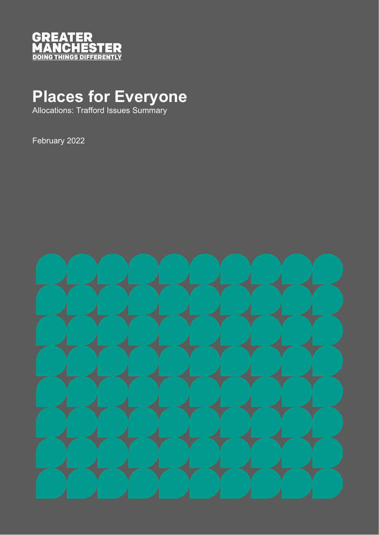

## **Places for Everyone**

Allocations: Trafford Issues Summary

February 2022

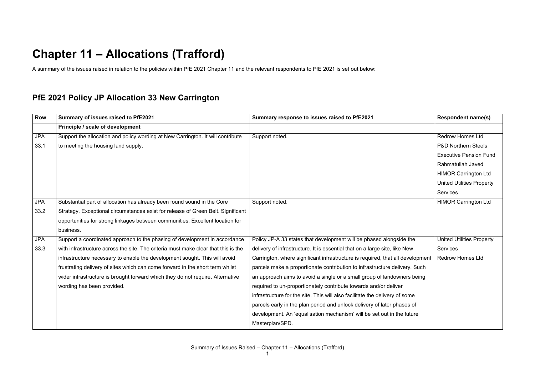## **Chapter 11 – Allocations (Trafford)**

A summary of the issues raised in relation to the policies within PfE 2021 Chapter 11 and the relevant respondents to PfE 2021 is set out below:

## **PfE 2021 Policy JP Allocation 33 New Carrington**

| <b>Row</b> | Summary of issues raised to PfE2021                                                | Summary response to issues raised to PfE2021                                   | <b>Respondent name(s)</b>        |
|------------|------------------------------------------------------------------------------------|--------------------------------------------------------------------------------|----------------------------------|
|            | Principle / scale of development                                                   |                                                                                |                                  |
| <b>JPA</b> | Support the allocation and policy wording at New Carrington. It will contribute    | Support noted.                                                                 | <b>Redrow Homes Ltd</b>          |
| 33.1       | to meeting the housing land supply.                                                |                                                                                | <b>P&amp;D Northern Steels</b>   |
|            |                                                                                    |                                                                                | <b>Executive Pension Fund</b>    |
|            |                                                                                    |                                                                                | Rahmatullah Javed                |
|            |                                                                                    |                                                                                | <b>HIMOR Carrington Ltd</b>      |
|            |                                                                                    |                                                                                | <b>United Utilities Property</b> |
|            |                                                                                    |                                                                                | <b>Services</b>                  |
| <b>JPA</b> | Substantial part of allocation has already been found sound in the Core            | Support noted.                                                                 | <b>HIMOR Carrington Ltd</b>      |
| 33.2       | Strategy. Exceptional circumstances exist for release of Green Belt. Significant   |                                                                                |                                  |
|            | opportunities for strong linkages between communities. Excellent location for      |                                                                                |                                  |
|            | business.                                                                          |                                                                                |                                  |
| <b>JPA</b> | Support a coordinated approach to the phasing of development in accordance         | Policy JP-A 33 states that development will be phased alongside the            | <b>United Utilities Property</b> |
| 33.3       | with infrastructure across the site. The criteria must make clear that this is the | delivery of infrastructure. It is essential that on a large site, like New     | <b>Services</b>                  |
|            | infrastructure necessary to enable the development sought. This will avoid         | Carrington, where significant infrastructure is required, that all development | <b>Redrow Homes Ltd</b>          |
|            | frustrating delivery of sites which can come forward in the short term whilst      | parcels make a proportionate contribution to infrastructure delivery. Such     |                                  |
|            | wider infrastructure is brought forward which they do not require. Alternative     | an approach aims to avoid a single or a small group of landowners being        |                                  |
|            | wording has been provided.                                                         | required to un-proportionately contribute towards and/or deliver               |                                  |
|            |                                                                                    | infrastructure for the site. This will also facilitate the delivery of some    |                                  |
|            |                                                                                    | parcels early in the plan period and unlock delivery of later phases of        |                                  |
|            |                                                                                    | development. An 'equalisation mechanism' will be set out in the future         |                                  |
|            |                                                                                    | Masterplan/SPD.                                                                |                                  |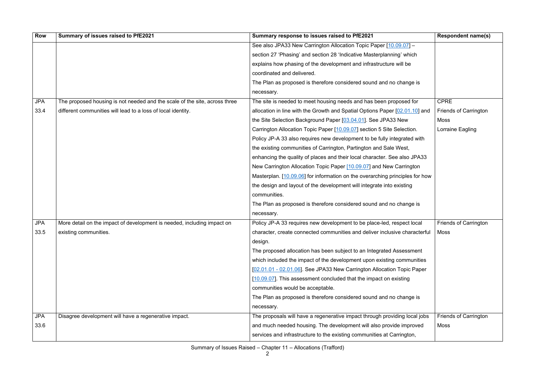| <b>Row</b> | Summary of issues raised to PfE2021                                        | Summary response to issues raised to PfE2021                                      | <b>Respondent name(s)</b>    |
|------------|----------------------------------------------------------------------------|-----------------------------------------------------------------------------------|------------------------------|
|            |                                                                            | See also JPA33 New Carrington Allocation Topic Paper [10.09.07] -                 |                              |
|            |                                                                            | section 27 'Phasing' and section 28 'Indicative Masterplanning' which             |                              |
|            |                                                                            | explains how phasing of the development and infrastructure will be                |                              |
|            |                                                                            | coordinated and delivered.                                                        |                              |
|            |                                                                            | The Plan as proposed is therefore considered sound and no change is               |                              |
|            |                                                                            | necessary.                                                                        |                              |
| <b>JPA</b> | The proposed housing is not needed and the scale of the site, across three | The site is needed to meet housing needs and has been proposed for                | <b>CPRE</b>                  |
| 33.4       | different communities will lead to a loss of local identity.               | allocation in line with the Growth and Spatial Options Paper [02.01.10] and       | <b>Friends of Carrington</b> |
|            |                                                                            | the Site Selection Background Paper [03.04.01]. See JPA33 New                     | Moss                         |
|            |                                                                            | Carrington Allocation Topic Paper [10.09.07] section 5 Site Selection.            | Lorraine Eagling             |
|            |                                                                            | Policy JP-A 33 also requires new development to be fully integrated with          |                              |
|            |                                                                            | the existing communities of Carrington, Partington and Sale West,                 |                              |
|            |                                                                            | enhancing the quality of places and their local character. See also JPA33         |                              |
|            |                                                                            | New Carrington Allocation Topic Paper [10.09.07] and New Carrington               |                              |
|            |                                                                            | Masterplan. [10.09.06] for information on the overarching principles for how      |                              |
|            |                                                                            | the design and layout of the development will integrate into existing             |                              |
|            |                                                                            | communities.                                                                      |                              |
|            |                                                                            | The Plan as proposed is therefore considered sound and no change is               |                              |
|            |                                                                            | necessary.                                                                        |                              |
| <b>JPA</b> | More detail on the impact of development is needed, including impact on    | Policy JP-A 33 requires new development to be place-led, respect local            | <b>Friends of Carrington</b> |
| 33.5       | existing communities.                                                      | character, create connected communities and deliver inclusive characterful   Moss |                              |
|            |                                                                            | design.                                                                           |                              |
|            |                                                                            | The proposed allocation has been subject to an Integrated Assessment              |                              |
|            |                                                                            | which included the impact of the development upon existing communities            |                              |
|            |                                                                            | [02.01.01 - 02.01.06]. See JPA33 New Carrington Allocation Topic Paper            |                              |
|            |                                                                            | [10.09.07]. This assessment concluded that the impact on existing                 |                              |
|            |                                                                            | communities would be acceptable.                                                  |                              |
|            |                                                                            | The Plan as proposed is therefore considered sound and no change is               |                              |
|            |                                                                            | necessary.                                                                        |                              |
| <b>JPA</b> | Disagree development will have a regenerative impact.                      | The proposals will have a regenerative impact through providing local jobs        | <b>Friends of Carrington</b> |
| 33.6       |                                                                            | and much needed housing. The development will also provide improved               | <b>Moss</b>                  |
|            |                                                                            | services and infrastructure to the existing communities at Carrington,            |                              |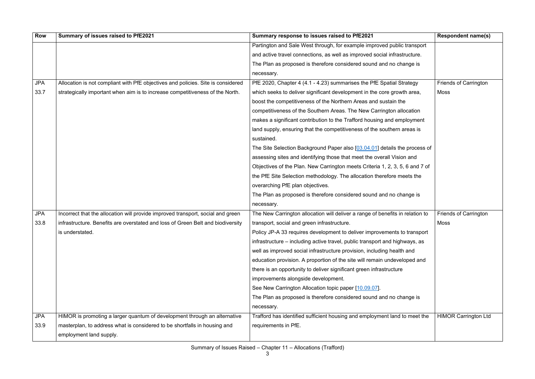| <b>Row</b> | Summary of issues raised to PfE2021                                              | Summary response to issues raised to PfE2021                                  | <b>Respondent name(s)</b>    |
|------------|----------------------------------------------------------------------------------|-------------------------------------------------------------------------------|------------------------------|
|            |                                                                                  | Partington and Sale West through, for example improved public transport       |                              |
|            |                                                                                  | and active travel connections, as well as improved social infrastructure.     |                              |
|            |                                                                                  | The Plan as proposed is therefore considered sound and no change is           |                              |
|            |                                                                                  | necessary.                                                                    |                              |
| <b>JPA</b> | Allocation is not compliant with PfE objectives and policies. Site is considered | PfE 2020, Chapter 4 (4.1 - 4.23) summarises the PfE Spatial Strategy          | <b>Friends of Carrington</b> |
| 33.7       | strategically important when aim is to increase competitiveness of the North.    | which seeks to deliver significant development in the core growth area,       | Moss                         |
|            |                                                                                  | boost the competitiveness of the Northern Areas and sustain the               |                              |
|            |                                                                                  | competitiveness of the Southern Areas. The New Carrington allocation          |                              |
|            |                                                                                  | makes a significant contribution to the Trafford housing and employment       |                              |
|            |                                                                                  | land supply, ensuring that the competitiveness of the southern areas is       |                              |
|            |                                                                                  | sustained.                                                                    |                              |
|            |                                                                                  | The Site Selection Background Paper also [03.04.01] details the process of    |                              |
|            |                                                                                  | assessing sites and identifying those that meet the overall Vision and        |                              |
|            |                                                                                  | Objectives of the Plan. New Carrington meets Criteria 1, 2, 3, 5, 6 and 7 of  |                              |
|            |                                                                                  | the PfE Site Selection methodology. The allocation therefore meets the        |                              |
|            |                                                                                  | overarching PfE plan objectives.                                              |                              |
|            |                                                                                  | The Plan as proposed is therefore considered sound and no change is           |                              |
|            |                                                                                  | necessary.                                                                    |                              |
| <b>JPA</b> | Incorrect that the allocation will provide improved transport, social and green  | The New Carrington allocation will deliver a range of benefits in relation to | <b>Friends of Carrington</b> |
| 33.8       | infrastructure. Benefits are overstated and loss of Green Belt and biodiversity  | transport, social and green infrastructure.                                   | Moss                         |
|            | is understated.                                                                  | Policy JP-A 33 requires development to deliver improvements to transport      |                              |
|            |                                                                                  | infrastructure – including active travel, public transport and highways, as   |                              |
|            |                                                                                  | well as improved social infrastructure provision, including health and        |                              |
|            |                                                                                  | education provision. A proportion of the site will remain undeveloped and     |                              |
|            |                                                                                  | there is an opportunity to deliver significant green infrastructure           |                              |
|            |                                                                                  | improvements alongside development.                                           |                              |
|            |                                                                                  | See New Carrington Allocation topic paper [10.09.07].                         |                              |
|            |                                                                                  | The Plan as proposed is therefore considered sound and no change is           |                              |
|            |                                                                                  | necessary.                                                                    |                              |
| <b>JPA</b> | HIMOR is promoting a larger quantum of development through an alternative        | Trafford has identified sufficient housing and employment land to meet the    | <b>HIMOR Carrington Ltd</b>  |
| 33.9       | masterplan, to address what is considered to be shortfalls in housing and        | requirements in PfE.                                                          |                              |
|            | employment land supply.                                                          |                                                                               |                              |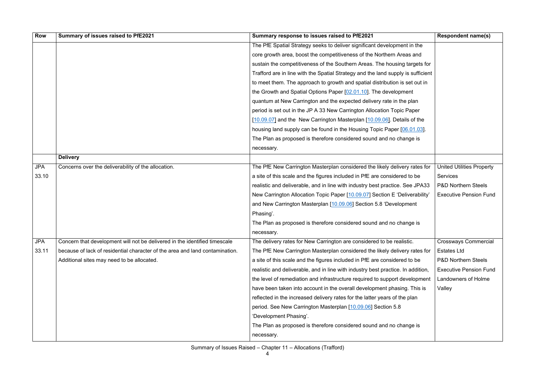| <b>Row</b> | Summary of issues raised to PfE2021                                          | Summary response to issues raised to PfE2021                                     | <b>Respondent name(s)</b>        |
|------------|------------------------------------------------------------------------------|----------------------------------------------------------------------------------|----------------------------------|
|            |                                                                              | The PfE Spatial Strategy seeks to deliver significant development in the         |                                  |
|            |                                                                              | core growth area, boost the competitiveness of the Northern Areas and            |                                  |
|            |                                                                              | sustain the competitiveness of the Southern Areas. The housing targets for       |                                  |
|            |                                                                              | Trafford are in line with the Spatial Strategy and the land supply is sufficient |                                  |
|            |                                                                              | to meet them. The approach to growth and spatial distribution is set out in      |                                  |
|            |                                                                              | the Growth and Spatial Options Paper [02.01.10]. The development                 |                                  |
|            |                                                                              | quantum at New Carrington and the expected delivery rate in the plan             |                                  |
|            |                                                                              | period is set out in the JP A 33 New Carrington Allocation Topic Paper           |                                  |
|            |                                                                              | [10.09.07] and the New Carrington Masterplan [10.09.06]. Details of the          |                                  |
|            |                                                                              | housing land supply can be found in the Housing Topic Paper [06.01.03].          |                                  |
|            |                                                                              | The Plan as proposed is therefore considered sound and no change is              |                                  |
|            |                                                                              | necessary.                                                                       |                                  |
|            | <b>Delivery</b>                                                              |                                                                                  |                                  |
| <b>JPA</b> | Concerns over the deliverability of the allocation.                          | The PfE New Carrington Masterplan considered the likely delivery rates for       | <b>United Utilities Property</b> |
| 33.10      |                                                                              | a site of this scale and the figures included in PfE are considered to be        | <b>Services</b>                  |
|            |                                                                              | realistic and deliverable, and in line with industry best practice. See JPA33    | <b>P&amp;D Northern Steels</b>   |
|            |                                                                              | New Carrington Allocation Topic Paper [10.09.07] Section E 'Deliverability'      | <b>Executive Pension Fund</b>    |
|            |                                                                              | and New Carrington Masterplan [10.09.06] Section 5.8 'Development                |                                  |
|            |                                                                              | Phasing'.                                                                        |                                  |
|            |                                                                              | The Plan as proposed is therefore considered sound and no change is              |                                  |
|            |                                                                              | necessary.                                                                       |                                  |
| <b>JPA</b> | Concern that development will not be delivered in the identified timescale   | The delivery rates for New Carrington are considered to be realistic.            | <b>Crossways Commercial</b>      |
| 33.11      | because of lack of residential character of the area and land contamination. | The PfE New Carrington Masterplan considered the likely delivery rates for       | <b>Estates Ltd</b>               |
|            | Additional sites may need to be allocated.                                   | a site of this scale and the figures included in PfE are considered to be        | <b>P&amp;D Northern Steels</b>   |
|            |                                                                              | realistic and deliverable, and in line with industry best practice. In addition, | <b>Executive Pension Fund</b>    |
|            |                                                                              | the level of remediation and infrastructure required to support development      | Landowners of Holme              |
|            |                                                                              | have been taken into account in the overall development phasing. This is         | Valley                           |
|            |                                                                              | reflected in the increased delivery rates for the latter years of the plan       |                                  |
|            |                                                                              | period. See New Carrington Masterplan [10.09.06] Section 5.8                     |                                  |
|            |                                                                              | 'Development Phasing'.                                                           |                                  |
|            |                                                                              | The Plan as proposed is therefore considered sound and no change is              |                                  |
|            |                                                                              | necessary.                                                                       |                                  |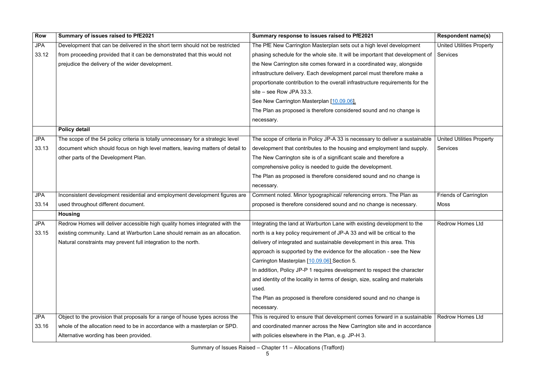| <b>Row</b> | Summary of issues raised to PfE2021                                              | Summary response to issues raised to PfE2021                                  | <b>Respondent name(s)</b>        |
|------------|----------------------------------------------------------------------------------|-------------------------------------------------------------------------------|----------------------------------|
| <b>JPA</b> | Development that can be delivered in the short term should not be restricted     | The PfE New Carrington Masterplan sets out a high level development           | <b>United Utilities Property</b> |
| 33.12      | from proceeding provided that it can be demonstrated that this would not         | phasing schedule for the whole site. It will be important that development of | Services                         |
|            | prejudice the delivery of the wider development.                                 | the New Carrington site comes forward in a coordinated way, alongside         |                                  |
|            |                                                                                  | infrastructure delivery. Each development parcel must therefore make a        |                                  |
|            |                                                                                  | proportionate contribution to the overall infrastructure requirements for the |                                  |
|            |                                                                                  | site - see Row JPA 33.3.                                                      |                                  |
|            |                                                                                  | See New Carrington Masterplan [10.09.06].                                     |                                  |
|            |                                                                                  | The Plan as proposed is therefore considered sound and no change is           |                                  |
|            |                                                                                  | necessary.                                                                    |                                  |
|            | <b>Policy detail</b>                                                             |                                                                               |                                  |
| <b>JPA</b> | The scope of the 54 policy criteria is totally unnecessary for a strategic level | The scope of criteria in Policy JP-A 33 is necessary to deliver a sustainable | <b>United Utilities Property</b> |
| 33.13      | document which should focus on high level matters, leaving matters of detail to  | development that contributes to the housing and employment land supply.       | <b>Services</b>                  |
|            | other parts of the Development Plan.                                             | The New Carrington site is of a significant scale and therefore a             |                                  |
|            |                                                                                  | comprehensive policy is needed to guide the development.                      |                                  |
|            |                                                                                  | The Plan as proposed is therefore considered sound and no change is           |                                  |
|            |                                                                                  | necessary.                                                                    |                                  |
| <b>JPA</b> | Inconsistent development residential and employment development figures are      | Comment noted. Minor typographical/ referencing errors. The Plan as           | <b>Friends of Carrington</b>     |
| 33.14      | used throughout different document.                                              | proposed is therefore considered sound and no change is necessary.            | Moss                             |
|            | <b>Housing</b>                                                                   |                                                                               |                                  |
| <b>JPA</b> | Redrow Homes will deliver accessible high quality homes integrated with the      | Integrating the land at Warburton Lane with existing development to the       | <b>Redrow Homes Ltd</b>          |
| 33.15      | existing community. Land at Warburton Lane should remain as an allocation.       | north is a key policy requirement of JP-A 33 and will be critical to the      |                                  |
|            | Natural constraints may prevent full integration to the north.                   | delivery of integrated and sustainable development in this area. This         |                                  |
|            |                                                                                  | approach is supported by the evidence for the allocation - see the New        |                                  |
|            |                                                                                  | Carrington Masterplan [10.09.06] Section 5.                                   |                                  |
|            |                                                                                  | In addition, Policy JP-P 1 requires development to respect the character      |                                  |
|            |                                                                                  | and identity of the locality in terms of design, size, scaling and materials  |                                  |
|            |                                                                                  | used.                                                                         |                                  |
|            |                                                                                  | The Plan as proposed is therefore considered sound and no change is           |                                  |
|            |                                                                                  | necessary.                                                                    |                                  |
| <b>JPA</b> | Object to the provision that proposals for a range of house types across the     | This is required to ensure that development comes forward in a sustainable    | <b>Redrow Homes Ltd</b>          |
| 33.16      | whole of the allocation need to be in accordance with a masterplan or SPD.       | and coordinated manner across the New Carrington site and in accordance       |                                  |
|            | Alternative wording has been provided.                                           | with policies elsewhere in the Plan, e.g. JP-H 3.                             |                                  |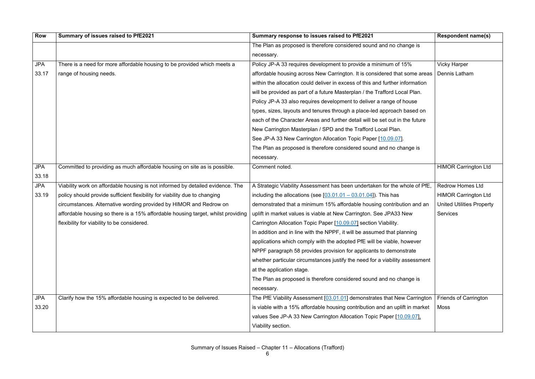| <b>Row</b> | Summary of issues raised to PfE2021                                              | Summary response to issues raised to PfE2021                                  | <b>Respondent name(s)</b>        |
|------------|----------------------------------------------------------------------------------|-------------------------------------------------------------------------------|----------------------------------|
|            |                                                                                  | The Plan as proposed is therefore considered sound and no change is           |                                  |
|            |                                                                                  | necessary.                                                                    |                                  |
| <b>JPA</b> | There is a need for more affordable housing to be provided which meets a         | Policy JP-A 33 requires development to provide a minimum of 15%               | <b>Vicky Harper</b>              |
| 33.17      | range of housing needs.                                                          | affordable housing across New Carrington. It is considered that some areas    | Dennis Latham                    |
|            |                                                                                  | within the allocation could deliver in excess of this and further information |                                  |
|            |                                                                                  | will be provided as part of a future Masterplan / the Trafford Local Plan.    |                                  |
|            |                                                                                  | Policy JP-A 33 also requires development to deliver a range of house          |                                  |
|            |                                                                                  | types, sizes, layouts and tenures through a place-led approach based on       |                                  |
|            |                                                                                  | each of the Character Areas and further detail will be set out in the future  |                                  |
|            |                                                                                  | New Carrington Masterplan / SPD and the Trafford Local Plan.                  |                                  |
|            |                                                                                  | See JP-A 33 New Carrington Allocation Topic Paper [10.09.07].                 |                                  |
|            |                                                                                  | The Plan as proposed is therefore considered sound and no change is           |                                  |
|            |                                                                                  | necessary.                                                                    |                                  |
| <b>JPA</b> | Committed to providing as much affordable housing on site as is possible.        | Comment noted.                                                                | <b>HIMOR Carrington Ltd</b>      |
| 33.18      |                                                                                  |                                                                               |                                  |
| <b>JPA</b> | Viability work on affordable housing is not informed by detailed evidence. The   | A Strategic Viability Assessment has been undertaken for the whole of PfE,    | <b>Redrow Homes Ltd</b>          |
| 33.19      | policy should provide sufficient flexibility for viability due to changing       | including the allocations (see $[03.01.01 - 03.01.04]$ ). This has            | <b>HIMOR Carrington Ltd</b>      |
|            | circumstances. Alternative wording provided by HIMOR and Redrow on               | demonstrated that a minimum 15% affordable housing contribution and an        | <b>United Utilities Property</b> |
|            | affordable housing so there is a 15% affordable housing target, whilst providing | uplift in market values is viable at New Carrington. See JPA33 New            | <b>Services</b>                  |
|            | flexibility for viability to be considered.                                      | Carrington Allocation Topic Paper [10.09.07] section Viability.               |                                  |
|            |                                                                                  | In addition and in line with the NPPF, it will be assumed that planning       |                                  |
|            |                                                                                  | applications which comply with the adopted PfE will be viable, however        |                                  |
|            |                                                                                  | NPPF paragraph 58 provides provision for applicants to demonstrate            |                                  |
|            |                                                                                  | whether particular circumstances justify the need for a viability assessment  |                                  |
|            |                                                                                  | at the application stage.                                                     |                                  |
|            |                                                                                  | The Plan as proposed is therefore considered sound and no change is           |                                  |
|            |                                                                                  | necessary.                                                                    |                                  |
| <b>JPA</b> | Clarify how the 15% affordable housing is expected to be delivered.              | The PfE Viability Assessment [03.01.01] demonstrates that New Carrington      | <b>Friends of Carrington</b>     |
| 33.20      |                                                                                  | is viable with a 15% affordable housing contribution and an uplift in market  | Moss                             |
|            |                                                                                  | values See JP-A 33 New Carrington Allocation Topic Paper [10.09.07].          |                                  |
|            |                                                                                  | Viability section.                                                            |                                  |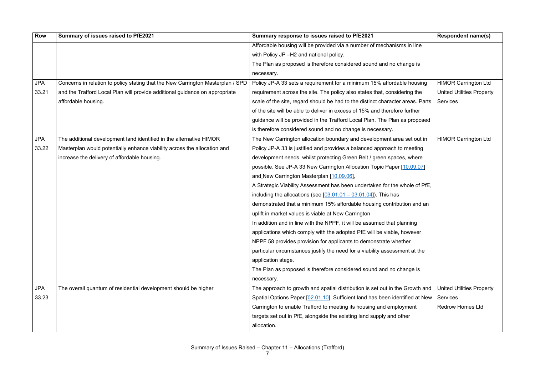| <b>Row</b> | Summary of issues raised to PfE2021                                             | Summary response to issues raised to PfE2021                                   | <b>Respondent name(s)</b>        |
|------------|---------------------------------------------------------------------------------|--------------------------------------------------------------------------------|----------------------------------|
|            |                                                                                 | Affordable housing will be provided via a number of mechanisms in line         |                                  |
|            |                                                                                 | with Policy JP-H2 and national policy.                                         |                                  |
|            |                                                                                 | The Plan as proposed is therefore considered sound and no change is            |                                  |
|            |                                                                                 | necessary.                                                                     |                                  |
| <b>JPA</b> | Concerns in relation to policy stating that the New Carrington Masterplan / SPD | Policy JP-A 33 sets a requirement for a minimum 15% affordable housing         | <b>HIMOR Carrington Ltd</b>      |
| 33.21      | and the Trafford Local Plan will provide additional guidance on appropriate     | requirement across the site. The policy also states that, considering the      | <b>United Utilities Property</b> |
|            | affordable housing.                                                             | scale of the site, regard should be had to the distinct character areas. Parts | <b>Services</b>                  |
|            |                                                                                 | of the site will be able to deliver in excess of 15% and therefore further     |                                  |
|            |                                                                                 | guidance will be provided in the Trafford Local Plan. The Plan as proposed     |                                  |
|            |                                                                                 | is therefore considered sound and no change is necessary.                      |                                  |
| <b>JPA</b> | The additional development land identified in the alternative HIMOR             | The New Carrington allocation boundary and development area set out in         | <b>HIMOR Carrington Ltd</b>      |
| 33.22      | Masterplan would potentially enhance viability across the allocation and        | Policy JP-A 33 is justified and provides a balanced approach to meeting        |                                  |
|            | increase the delivery of affordable housing.                                    | development needs, whilst protecting Green Belt / green spaces, where          |                                  |
|            |                                                                                 | possible. See JP-A 33 New Carrington Allocation Topic Paper [10.09.07]         |                                  |
|            |                                                                                 | and New Carrington Masterplan [10.09.06].                                      |                                  |
|            |                                                                                 | A Strategic Viability Assessment has been undertaken for the whole of PfE,     |                                  |
|            |                                                                                 | including the allocations (see $[03.01.01 - 03.01.04]$ ). This has             |                                  |
|            |                                                                                 | demonstrated that a minimum 15% affordable housing contribution and an         |                                  |
|            |                                                                                 | uplift in market values is viable at New Carrington                            |                                  |
|            |                                                                                 | In addition and in line with the NPPF, it will be assumed that planning        |                                  |
|            |                                                                                 | applications which comply with the adopted PfE will be viable, however         |                                  |
|            |                                                                                 | NPPF 58 provides provision for applicants to demonstrate whether               |                                  |
|            |                                                                                 | particular circumstances justify the need for a viability assessment at the    |                                  |
|            |                                                                                 | application stage.                                                             |                                  |
|            |                                                                                 | The Plan as proposed is therefore considered sound and no change is            |                                  |
|            |                                                                                 | necessary.                                                                     |                                  |
| <b>JPA</b> | The overall quantum of residential development should be higher                 | The approach to growth and spatial distribution is set out in the Growth and   | <b>United Utilities Property</b> |
| 33.23      |                                                                                 | Spatial Options Paper [02.01.10]. Sufficient land has been identified at New   | <b>Services</b>                  |
|            |                                                                                 | Carrington to enable Trafford to meeting its housing and employment            | <b>Redrow Homes Ltd</b>          |
|            |                                                                                 | targets set out in PfE, alongside the existing land supply and other           |                                  |
|            |                                                                                 | allocation.                                                                    |                                  |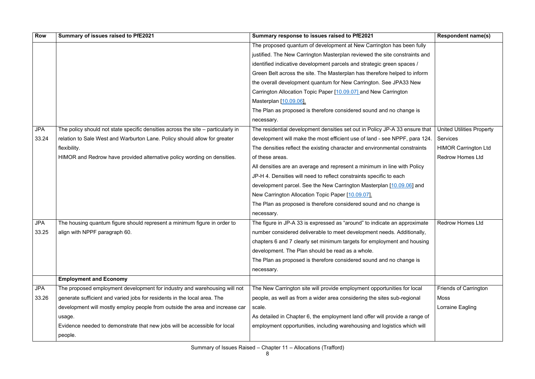| <b>Row</b> | Summary of issues raised to PfE2021                                              | Summary response to issues raised to PfE2021                                | <b>Respondent name(s)</b>        |
|------------|----------------------------------------------------------------------------------|-----------------------------------------------------------------------------|----------------------------------|
|            |                                                                                  | The proposed quantum of development at New Carrington has been fully        |                                  |
|            |                                                                                  | justified. The New Carrington Masterplan reviewed the site constraints and  |                                  |
|            |                                                                                  | identified indicative development parcels and strategic green spaces /      |                                  |
|            |                                                                                  | Green Belt across the site. The Masterplan has therefore helped to inform   |                                  |
|            |                                                                                  | the overall development quantum for New Carrington. See JPA33 New           |                                  |
|            |                                                                                  | Carrington Allocation Topic Paper [10.09.07] and New Carrington             |                                  |
|            |                                                                                  | Masterplan [10.09.06].                                                      |                                  |
|            |                                                                                  | The Plan as proposed is therefore considered sound and no change is         |                                  |
|            |                                                                                  | necessary.                                                                  |                                  |
| <b>JPA</b> | The policy should not state specific densities across the site - particularly in | The residential development densities set out in Policy JP-A 33 ensure that | <b>United Utilities Property</b> |
| 33.24      | relation to Sale West and Warburton Lane. Policy should allow for greater        | development will make the most efficient use of land - see NPPF, para 124.  | <b>Services</b>                  |
|            | flexibility.                                                                     | The densities reflect the existing character and environmental constraints  | <b>HIMOR Carrington Ltd</b>      |
|            | HIMOR and Redrow have provided alternative policy wording on densities.          | of these areas.                                                             | <b>Redrow Homes Ltd</b>          |
|            |                                                                                  | All densities are an average and represent a minimum in line with Policy    |                                  |
|            |                                                                                  | JP-H 4. Densities will need to reflect constraints specific to each         |                                  |
|            |                                                                                  | development parcel. See the New Carrington Masterplan [10.09.06] and        |                                  |
|            |                                                                                  | New Carrington Allocation Topic Paper [10.09.07].                           |                                  |
|            |                                                                                  | The Plan as proposed is therefore considered sound and no change is         |                                  |
|            |                                                                                  | necessary.                                                                  |                                  |
| <b>JPA</b> | The housing quantum figure should represent a minimum figure in order to         | The figure in JP-A 33 is expressed as "around" to indicate an approximate   | <b>Redrow Homes Ltd</b>          |
| 33.25      | align with NPPF paragraph 60.                                                    | number considered deliverable to meet development needs. Additionally,      |                                  |
|            |                                                                                  | chapters 6 and 7 clearly set minimum targets for employment and housing     |                                  |
|            |                                                                                  | development. The Plan should be read as a whole.                            |                                  |
|            |                                                                                  | The Plan as proposed is therefore considered sound and no change is         |                                  |
|            |                                                                                  | necessary.                                                                  |                                  |
|            | <b>Employment and Economy</b>                                                    |                                                                             |                                  |
| <b>JPA</b> | The proposed employment development for industry and warehousing will not        | The New Carrington site will provide employment opportunities for local     | <b>Friends of Carrington</b>     |
| 33.26      | generate sufficient and varied jobs for residents in the local area. The         | people, as well as from a wider area considering the sites sub-regional     | Moss                             |
|            | development will mostly employ people from outside the area and increase car     | scale.                                                                      | Lorraine Eagling                 |
|            | usage.                                                                           | As detailed in Chapter 6, the employment land offer will provide a range of |                                  |
|            | Evidence needed to demonstrate that new jobs will be accessible for local        | employment opportunities, including warehousing and logistics which will    |                                  |
|            | people.                                                                          |                                                                             |                                  |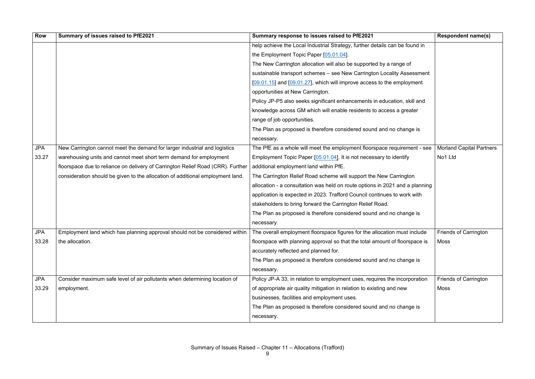| <b>Row</b> | Summary of issues raised to PfE2021                                                                                                                     | Summary response to issues raised to PfE2021                                 | <b>Respondent name(s)</b>       |
|------------|---------------------------------------------------------------------------------------------------------------------------------------------------------|------------------------------------------------------------------------------|---------------------------------|
|            |                                                                                                                                                         | help achieve the Local Industrial Strategy, further details can be found in  |                                 |
|            |                                                                                                                                                         | the Employment Topic Paper [05.01.04].                                       |                                 |
|            |                                                                                                                                                         | The New Carrington allocation will also be supported by a range of           |                                 |
|            |                                                                                                                                                         | sustainable transport schemes - see New Carrington Locality Assessment       |                                 |
|            |                                                                                                                                                         | $[09.01.15]$ and $[09.01.27]$ , which will improve access to the employment  |                                 |
|            |                                                                                                                                                         | opportunities at New Carrington.                                             |                                 |
|            |                                                                                                                                                         | Policy JP-P5 also seeks significant enhancements in education, skill and     |                                 |
|            |                                                                                                                                                         | knowledge across GM which will enable residents to access a greater          |                                 |
|            |                                                                                                                                                         | range of job opportunities.                                                  |                                 |
|            |                                                                                                                                                         | The Plan as proposed is therefore considered sound and no change is          |                                 |
|            |                                                                                                                                                         | necessary.                                                                   |                                 |
| <b>JPA</b> | New Carrington cannot meet the demand for larger industrial and logistics                                                                               | The PfE as a whole will meet the employment floorspace requirement - see     | <b>Morland Capital Partners</b> |
| 33.27      | warehousing units and cannot meet short term demand for employment                                                                                      | Employment Topic Paper [05.01.04]. It is not necessary to identify           | No1 Ltd                         |
|            | floorspace due to reliance on delivery of Carrington Relief Road (CRR). Further                                                                         | additional employment land within PfE.                                       |                                 |
|            | consideration should be given to the allocation of additional employment land.                                                                          | The Carrington Relief Road scheme will support the New Carrington            |                                 |
|            |                                                                                                                                                         | allocation - a consultation was held on route options in 2021 and a planning |                                 |
|            |                                                                                                                                                         | application is expected in 2023. Trafford Council continues to work with     |                                 |
|            |                                                                                                                                                         | stakeholders to bring forward the Carrington Relief Road.                    |                                 |
|            |                                                                                                                                                         | The Plan as proposed is therefore considered sound and no change is          |                                 |
|            |                                                                                                                                                         | necessary.                                                                   |                                 |
| <b>JPA</b> | Employment land which has planning approval should not be considered within   The overall employment floorspace figures for the allocation must include |                                                                              | <b>Friends of Carrington</b>    |
| 33.28      | the allocation.                                                                                                                                         | floorspace with planning approval so that the total amount of floorspace is  | <b>Moss</b>                     |
|            |                                                                                                                                                         | accurately reflected and planned for.                                        |                                 |
|            |                                                                                                                                                         | The Plan as proposed is therefore considered sound and no change is          |                                 |
|            |                                                                                                                                                         | necessary.                                                                   |                                 |
| <b>JPA</b> | Consider maximum safe level of air pollutants when determining location of                                                                              | Policy JP-A 33, in relation to employment uses, requires the incorporation   | <b>Friends of Carrington</b>    |
| 33.29      | employment.                                                                                                                                             | of appropriate air quality mitigation in relation to existing and new        | Moss                            |
|            |                                                                                                                                                         | businesses, facilities and employment uses.                                  |                                 |
|            |                                                                                                                                                         | The Plan as proposed is therefore considered sound and no change is          |                                 |
|            |                                                                                                                                                         | necessary.                                                                   |                                 |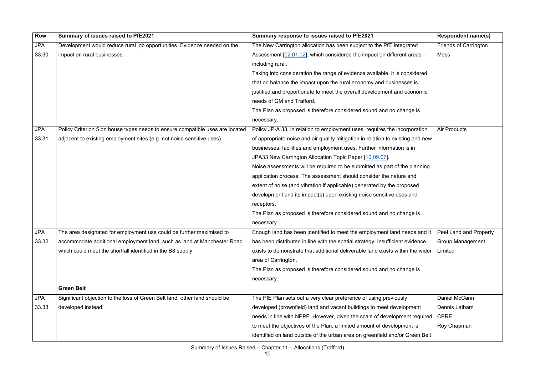| <b>Row</b> | Summary of issues raised to PfE2021                                           | Summary response to issues raised to PfE2021                                                      | <b>Respondent name(s)</b>    |
|------------|-------------------------------------------------------------------------------|---------------------------------------------------------------------------------------------------|------------------------------|
| <b>JPA</b> | Development would reduce rural job opportunities. Evidence needed on the      | The New Carrington allocation has been subject to the PfE Integrated                              | <b>Friends of Carrington</b> |
| 33.30      | impact on rural businesses.                                                   | Assessment $[02.01.02]$ , which considered the impact on different areas $-$                      | <b>Moss</b>                  |
|            |                                                                               | including rural.                                                                                  |                              |
|            |                                                                               | Taking into consideration the range of evidence available, it is considered                       |                              |
|            |                                                                               | that on balance the impact upon the rural economy and businesses is                               |                              |
|            |                                                                               | justified and proportionate to meet the overall development and economic                          |                              |
|            |                                                                               | needs of GM and Trafford.                                                                         |                              |
|            |                                                                               | The Plan as proposed is therefore considered sound and no change is                               |                              |
|            |                                                                               | necessary.                                                                                        |                              |
| <b>JPA</b> | Policy Criterion 5 on house types needs to ensure compatible uses are located | Policy JP-A 33, in relation to employment uses, requires the incorporation                        | <b>Air Products</b>          |
| 33.31      | adjacent to existing employment sites (e.g. not noise sensitive uses).        | of appropriate noise and air quality mitigation in relation to existing and new                   |                              |
|            |                                                                               | businesses, facilities and employment uses. Further information is in                             |                              |
|            |                                                                               | JPA33 New Carrington Allocation Topic Paper [10.09.07].                                           |                              |
|            |                                                                               | Noise assessments will be required to be submitted as part of the planning                        |                              |
|            |                                                                               | application process. The assessment should consider the nature and                                |                              |
|            |                                                                               | extent of noise (and vibration if applicable) generated by the proposed                           |                              |
|            |                                                                               | development and its impact(s) upon existing noise sensitive uses and                              |                              |
|            |                                                                               | receptors.                                                                                        |                              |
|            |                                                                               | The Plan as proposed is therefore considered sound and no change is                               |                              |
|            |                                                                               | necessary.                                                                                        |                              |
| <b>JPA</b> | The area designated for employment use could be further maximised to          | Enough land has been identified to meet the employment land needs and it   Peel Land and Property |                              |
| 33.32      | accommodate additional employment land, such as land at Manchester Road       | has been distributed in line with the spatial strategy. Insufficient evidence                     | <b>Group Management</b>      |
|            | which could meet the shortfall identified in the B8 supply                    | exists to demonstrate that additional deliverable land exists within the wider                    | Limited                      |
|            |                                                                               | area of Carrington.                                                                               |                              |
|            |                                                                               | The Plan as proposed is therefore considered sound and no change is                               |                              |
|            |                                                                               | necessary.                                                                                        |                              |
|            | <b>Green Belt</b>                                                             |                                                                                                   |                              |
| <b>JPA</b> | Significant objection to the loss of Green Belt land, other land should be    | The PfE Plan sets out a very clear preference of using previously                                 | Daniel McCann                |
| 33.33      | developed instead.                                                            | developed (brownfield) land and vacant buildings to meet development                              | Dennis Latham                |
|            |                                                                               | needs in line with NPPF. However, given the scale of development required                         | <b>CPRE</b>                  |
|            |                                                                               | to meet the objectives of the Plan, a limited amount of development is                            | Roy Chapman                  |
|            |                                                                               | identified on land outside of the urban area on greenfield and/or Green Belt                      |                              |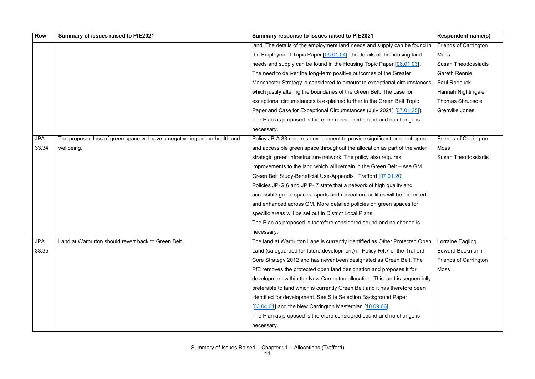| <b>Row</b> | Summary of issues raised to PfE2021                                        | Summary response to issues raised to PfE2021                                | <b>Respondent name(s)</b>    |
|------------|----------------------------------------------------------------------------|-----------------------------------------------------------------------------|------------------------------|
|            |                                                                            | land. The details of the employment land needs and supply can be found in   | <b>Friends of Carrington</b> |
|            |                                                                            | the Employment Topic Paper $[05.01.04]$ , the details of the housing land   | Moss                         |
|            |                                                                            | needs and supply can be found in the Housing Topic Paper [06.01.03].        | <b>Susan Theodossiadis</b>   |
|            |                                                                            | The need to deliver the long-term positive outcomes of the Greater          | <b>Gareth Rennie</b>         |
|            |                                                                            | Manchester Strategy is considered to amount to exceptional circumstances    | <b>Paul Roebuck</b>          |
|            |                                                                            | which justify altering the boundaries of the Green Belt. The case for       | Hannah Nightingale           |
|            |                                                                            | exceptional circumstances is explained further in the Green Belt Topic      | <b>Thomas Shrubsole</b>      |
|            |                                                                            | Paper and Case for Exceptional Circumstances (July 2021) [07.01.25]).       | Grenville Jones              |
|            |                                                                            | The Plan as proposed is therefore considered sound and no change is         |                              |
|            |                                                                            | necessary.                                                                  |                              |
| <b>JPA</b> | The proposed loss of green space will have a negative impact on health and | Policy JP-A 33 requires development to provide significant areas of open    | <b>Friends of Carrington</b> |
| 33.34      | wellbeing.                                                                 | and accessible green space throughout the allocation as part of the wider   | Moss                         |
|            |                                                                            | strategic green infrastructure network. The policy also requires            | <b>Susan Theodossiadis</b>   |
|            |                                                                            | improvements to the land which will remain in the Green Belt – see GM       |                              |
|            |                                                                            | Green Belt Study-Beneficial Use-Appendix I Trafford [07.01.20]              |                              |
|            |                                                                            | Policies JP-G 6 and JP P-7 state that a network of high quality and         |                              |
|            |                                                                            | accessible green spaces, sports and recreation facilities will be protected |                              |
|            |                                                                            | and enhanced across GM. More detailed policies on green spaces for          |                              |
|            |                                                                            | specific areas will be set out in District Local Plans.                     |                              |
|            |                                                                            | The Plan as proposed is therefore considered sound and no change is         |                              |
|            |                                                                            | necessary.                                                                  |                              |
| <b>JPA</b> | Land at Warburton should revert back to Green Belt.                        | The land at Warburton Lane is currently identified as Other Protected Open  | Lorraine Eagling             |
| 33.35      |                                                                            | Land (safeguarded for future development) in Policy R4.7 of the Trafford    | <b>Edward Beckmann</b>       |
|            |                                                                            | Core Strategy 2012 and has never been designated as Green Belt. The         | <b>Friends of Carrington</b> |
|            |                                                                            | PfE removes the protected open land designation and proposes it for         | Moss                         |
|            |                                                                            | development within the New Carrington allocation. This land is sequentially |                              |
|            |                                                                            | preferable to land which is currently Green Belt and it has therefore been  |                              |
|            |                                                                            | identified for development. See Site Selection Background Paper             |                              |
|            |                                                                            | [03.04.01] and the New Carrington Masterplan [10.09.06].                    |                              |
|            |                                                                            | The Plan as proposed is therefore considered sound and no change is         |                              |
|            |                                                                            | necessary.                                                                  |                              |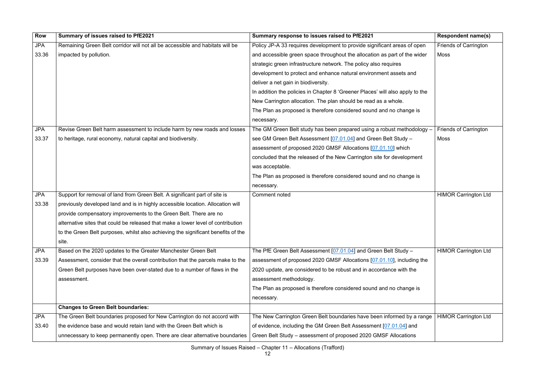| <b>Row</b> | Summary of issues raised to PfE2021                                               | Summary response to issues raised to PfE2021                                  | <b>Respondent name(s)</b>    |
|------------|-----------------------------------------------------------------------------------|-------------------------------------------------------------------------------|------------------------------|
| <b>JPA</b> | Remaining Green Belt corridor will not all be accessible and habitats will be     | Policy JP-A 33 requires development to provide significant areas of open      | <b>Friends of Carrington</b> |
| 33.36      | impacted by pollution.                                                            | and accessible green space throughout the allocation as part of the wider     | Moss                         |
|            |                                                                                   | strategic green infrastructure network. The policy also requires              |                              |
|            |                                                                                   | development to protect and enhance natural environment assets and             |                              |
|            |                                                                                   | deliver a net gain in biodiversity.                                           |                              |
|            |                                                                                   | In addition the policies in Chapter 8 'Greener Places' will also apply to the |                              |
|            |                                                                                   | New Carrington allocation. The plan should be read as a whole.                |                              |
|            |                                                                                   | The Plan as proposed is therefore considered sound and no change is           |                              |
|            |                                                                                   | necessary.                                                                    |                              |
| <b>JPA</b> | Revise Green Belt harm assessment to include harm by new roads and losses         | The GM Green Belt study has been prepared using a robust methodology $-$      | <b>Friends of Carrington</b> |
| 33.37      | to heritage, rural economy, natural capital and biodiversity.                     | see GM Green Belt Assessment [07.01.04] and Green Belt Study -                | Moss                         |
|            |                                                                                   | assessment of proposed 2020 GMSF Allocations [07.01.10] which                 |                              |
|            |                                                                                   | concluded that the released of the New Carrington site for development        |                              |
|            |                                                                                   | was acceptable.                                                               |                              |
|            |                                                                                   | The Plan as proposed is therefore considered sound and no change is           |                              |
|            |                                                                                   | necessary.                                                                    |                              |
| <b>JPA</b> | Support for removal of land from Green Belt. A significant part of site is        | <b>Comment noted</b>                                                          | <b>HIMOR Carrington Ltd</b>  |
| 33.38      | previously developed land and is in highly accessible location. Allocation will   |                                                                               |                              |
|            | provide compensatory improvements to the Green Belt. There are no                 |                                                                               |                              |
|            | alternative sites that could be released that make a lower level of contribution  |                                                                               |                              |
|            | to the Green Belt purposes, whilst also achieving the significant benefits of the |                                                                               |                              |
|            | site.                                                                             |                                                                               |                              |
| <b>JPA</b> | Based on the 2020 updates to the Greater Manchester Green Belt                    | The PfE Green Belt Assessment [07.01.04] and Green Belt Study -               | <b>HIMOR Carrington Ltd</b>  |
| 33.39      | Assessment, consider that the overall contribution that the parcels make to the   | assessment of proposed 2020 GMSF Allocations [07.01.10], including the        |                              |
|            | Green Belt purposes have been over-stated due to a number of flaws in the         | 2020 update, are considered to be robust and in accordance with the           |                              |
|            | assessment.                                                                       | assessment methodology.                                                       |                              |
|            |                                                                                   | The Plan as proposed is therefore considered sound and no change is           |                              |
|            |                                                                                   | necessary.                                                                    |                              |
|            | <b>Changes to Green Belt boundaries:</b>                                          |                                                                               |                              |
| <b>JPA</b> | The Green Belt boundaries proposed for New Carrington do not accord with          | The New Carrington Green Belt boundaries have been informed by a range        | <b>HIMOR Carrington Ltd</b>  |
| 33.40      | the evidence base and would retain land with the Green Belt which is              | of evidence, including the GM Green Belt Assessment [07.01.04] and            |                              |
|            | unnecessary to keep permanently open. There are clear alternative boundaries      | Green Belt Study - assessment of proposed 2020 GMSF Allocations               |                              |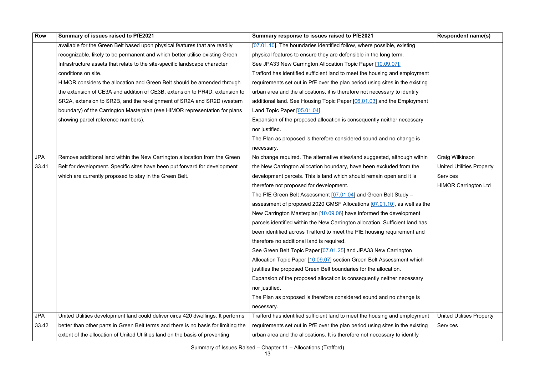| <b>Row</b> | Summary of issues raised to PfE2021                                                | Summary response to issues raised to PfE2021                                 | <b>Respondent name(s)</b>        |
|------------|------------------------------------------------------------------------------------|------------------------------------------------------------------------------|----------------------------------|
|            | available for the Green Belt based upon physical features that are readily         | [07.01.10]. The boundaries identified follow, where possible, existing       |                                  |
|            | recognizable, likely to be permanent and which better utilise existing Green       | physical features to ensure they are defensible in the long term.            |                                  |
|            | Infrastructure assets that relate to the site-specific landscape character         | See JPA33 New Carrington Allocation Topic Paper [10.09.07].                  |                                  |
|            | conditions on site.                                                                | Trafford has identified sufficient land to meet the housing and employment   |                                  |
|            | HIMOR considers the allocation and Green Belt should be amended through            | requirements set out in PfE over the plan period using sites in the existing |                                  |
|            | the extension of CE3A and addition of CE3B, extension to PR4D, extension to        | urban area and the allocations, it is therefore not necessary to identify    |                                  |
|            | SR2A, extension to SR2B, and the re-alignment of SR2A and SR2D (western            | additional land. See Housing Topic Paper [06.01.03] and the Employment       |                                  |
|            | boundary) of the Carrington Masterplan (see HIMOR representation for plans         | Land Topic Paper [05.01.04].                                                 |                                  |
|            | showing parcel reference numbers).                                                 | Expansion of the proposed allocation is consequently neither necessary       |                                  |
|            |                                                                                    | nor justified.                                                               |                                  |
|            |                                                                                    | The Plan as proposed is therefore considered sound and no change is          |                                  |
|            |                                                                                    | necessary.                                                                   |                                  |
| <b>JPA</b> | Remove additional land within the New Carrington allocation from the Green         | No change required. The alternative sites/land suggested, although within    | Craig Wilkinson                  |
| 33.41      | Belt for development. Specific sites have been put forward for development         | the New Carrington allocation boundary, have been excluded from the          | <b>United Utilities Property</b> |
|            | which are currently proposed to stay in the Green Belt.                            | development parcels. This is land which should remain open and it is         | <b>Services</b>                  |
|            |                                                                                    | therefore not proposed for development.                                      | <b>HIMOR Carrington Ltd</b>      |
|            |                                                                                    | The PfE Green Belt Assessment [07.01.04] and Green Belt Study –              |                                  |
|            |                                                                                    | assessment of proposed 2020 GMSF Allocations [07.01.10], as well as the      |                                  |
|            |                                                                                    | New Carrington Masterplan [10.09.06] have informed the development           |                                  |
|            |                                                                                    | parcels identified within the New Carrington allocation. Sufficient land has |                                  |
|            |                                                                                    | been identified across Trafford to meet the PfE housing requirement and      |                                  |
|            |                                                                                    | therefore no additional land is required.                                    |                                  |
|            |                                                                                    | See Green Belt Topic Paper [07.01.25] and JPA33 New Carrington               |                                  |
|            |                                                                                    | Allocation Topic Paper [10.09.07] section Green Belt Assessment which        |                                  |
|            |                                                                                    | justifies the proposed Green Belt boundaries for the allocation.             |                                  |
|            |                                                                                    | Expansion of the proposed allocation is consequently neither necessary       |                                  |
|            |                                                                                    | nor justified.                                                               |                                  |
|            |                                                                                    | The Plan as proposed is therefore considered sound and no change is          |                                  |
|            |                                                                                    | necessary.                                                                   |                                  |
| <b>JPA</b> | United Utilities development land could deliver circa 420 dwellings. It performs   | Trafford has identified sufficient land to meet the housing and employment   | <b>United Utilities Property</b> |
| 33.42      | better than other parts in Green Belt terms and there is no basis for limiting the | requirements set out in PfE over the plan period using sites in the existing | <b>Services</b>                  |
|            | extent of the allocation of United Utilities land on the basis of preventing       | urban area and the allocations. It is therefore not necessary to identify    |                                  |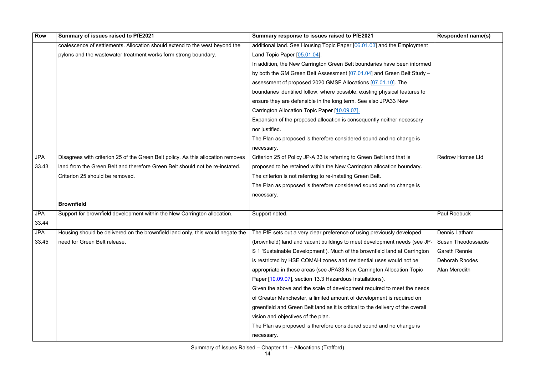| <b>Row</b> | Summary of issues raised to PfE2021                                                                                                                     | Summary response to issues raised to PfE2021                                    | <b>Respondent name(s)</b>  |
|------------|---------------------------------------------------------------------------------------------------------------------------------------------------------|---------------------------------------------------------------------------------|----------------------------|
|            | coalescence of settlements. Allocation should extend to the west beyond the                                                                             | additional land. See Housing Topic Paper [06.01.03] and the Employment          |                            |
|            | pylons and the wastewater treatment works form strong boundary.                                                                                         | Land Topic Paper [05.01.04].                                                    |                            |
|            |                                                                                                                                                         | In addition, the New Carrington Green Belt boundaries have been informed        |                            |
|            |                                                                                                                                                         | by both the GM Green Belt Assessment [07.01.04] and Green Belt Study -          |                            |
|            |                                                                                                                                                         | assessment of proposed 2020 GMSF Allocations [07.01.10]. The                    |                            |
|            |                                                                                                                                                         | boundaries identified follow, where possible, existing physical features to     |                            |
|            |                                                                                                                                                         | ensure they are defensible in the long term. See also JPA33 New                 |                            |
|            |                                                                                                                                                         | Carrington Allocation Topic Paper [10.09.07].                                   |                            |
|            |                                                                                                                                                         | Expansion of the proposed allocation is consequently neither necessary          |                            |
|            |                                                                                                                                                         | nor justified.                                                                  |                            |
|            |                                                                                                                                                         | The Plan as proposed is therefore considered sound and no change is             |                            |
|            |                                                                                                                                                         | necessary.                                                                      |                            |
| <b>JPA</b> | Disagrees with criterion 25 of the Green Belt policy. As this allocation removes                                                                        | Criterion 25 of Policy JP-A 33 is referring to Green Belt land that is          | <b>Redrow Homes Ltd</b>    |
| 33.43      | land from the Green Belt and therefore Green Belt should not be re-instated.                                                                            | proposed to be retained within the New Carrington allocation boundary.          |                            |
|            | Criterion 25 should be removed.                                                                                                                         | The criterion is not referring to re-instating Green Belt.                      |                            |
|            |                                                                                                                                                         | The Plan as proposed is therefore considered sound and no change is             |                            |
|            |                                                                                                                                                         | necessary.                                                                      |                            |
|            | <b>Brownfield</b>                                                                                                                                       |                                                                                 |                            |
| <b>JPA</b> | Support for brownfield development within the New Carrington allocation.                                                                                | Support noted.                                                                  | <b>Paul Roebuck</b>        |
| 33.44      |                                                                                                                                                         |                                                                                 |                            |
| <b>JPA</b> | Housing should be delivered on the brownfield land only, this would negate the   The PfE sets out a very clear preference of using previously developed |                                                                                 | Dennis Latham              |
| 33.45      | need for Green Belt release.                                                                                                                            | (brownfield) land and vacant buildings to meet development needs (see JP-       | <b>Susan Theodossiadis</b> |
|            |                                                                                                                                                         | S 1 'Sustainable Development'). Much of the brownfield land at Carrington       | <b>Gareth Rennie</b>       |
|            |                                                                                                                                                         | is restricted by HSE COMAH zones and residential uses would not be              | <b>Deborah Rhodes</b>      |
|            |                                                                                                                                                         | appropriate in these areas (see JPA33 New Carrington Allocation Topic           | Alan Meredith              |
|            |                                                                                                                                                         | Paper [10.09.07], section 13.3 Hazardous Installations).                        |                            |
|            |                                                                                                                                                         | Given the above and the scale of development required to meet the needs         |                            |
|            |                                                                                                                                                         | of Greater Manchester, a limited amount of development is required on           |                            |
|            |                                                                                                                                                         | greenfield and Green Belt land as it is critical to the delivery of the overall |                            |
|            |                                                                                                                                                         | vision and objectives of the plan.                                              |                            |
|            |                                                                                                                                                         | The Plan as proposed is therefore considered sound and no change is             |                            |
|            |                                                                                                                                                         | necessary.                                                                      |                            |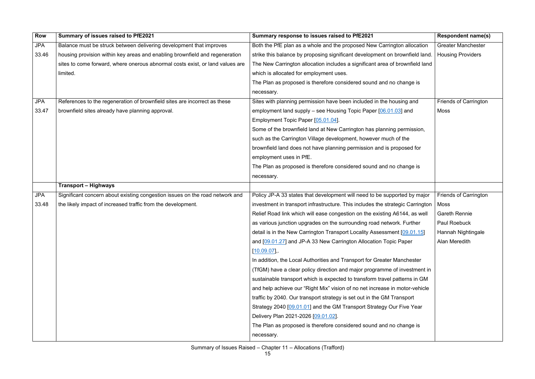| <b>Row</b> | Summary of issues raised to PfE2021                                           | Summary response to issues raised to PfE2021                                   | <b>Respondent name(s)</b>    |
|------------|-------------------------------------------------------------------------------|--------------------------------------------------------------------------------|------------------------------|
| <b>JPA</b> | Balance must be struck between delivering development that improves           | Both the PfE plan as a whole and the proposed New Carrington allocation        | <b>Greater Manchester</b>    |
| 33.46      | housing provision within key areas and enabling brownfield and regeneration   | strike this balance by proposing significant development on brownfield land.   | <b>Housing Providers</b>     |
|            | sites to come forward, where onerous abnormal costs exist, or land values are | The New Carrington allocation includes a significant area of brownfield land   |                              |
|            | limited.                                                                      | which is allocated for employment uses.                                        |                              |
|            |                                                                               | The Plan as proposed is therefore considered sound and no change is            |                              |
|            |                                                                               | necessary.                                                                     |                              |
| <b>JPA</b> | References to the regeneration of brownfield sites are incorrect as these     | Sites with planning permission have been included in the housing and           | <b>Friends of Carrington</b> |
| 33.47      | brownfield sites already have planning approval.                              | employment land supply – see Housing Topic Paper [06.01.03] and                | Moss                         |
|            |                                                                               | Employment Topic Paper [05.01.04].                                             |                              |
|            |                                                                               | Some of the brownfield land at New Carrington has planning permission,         |                              |
|            |                                                                               | such as the Carrington Village development, however much of the                |                              |
|            |                                                                               | brownfield land does not have planning permission and is proposed for          |                              |
|            |                                                                               | employment uses in PfE.                                                        |                              |
|            |                                                                               | The Plan as proposed is therefore considered sound and no change is            |                              |
|            |                                                                               | necessary.                                                                     |                              |
|            | <b>Transport – Highways</b>                                                   |                                                                                |                              |
| <b>JPA</b> | Significant concern about existing congestion issues on the road network and  | Policy JP-A 33 states that development will need to be supported by major      | <b>Friends of Carrington</b> |
| 33.48      | the likely impact of increased traffic from the development.                  | investment in transport infrastructure. This includes the strategic Carrington | Moss                         |
|            |                                                                               | Relief Road link which will ease congestion on the existing A6144, as well     | <b>Gareth Rennie</b>         |
|            |                                                                               | as various junction upgrades on the surrounding road network. Further          | Paul Roebuck                 |
|            |                                                                               | detail is in the New Carrington Transport Locality Assessment [09.01.15]       | Hannah Nightingale           |
|            |                                                                               | and [09.01.27] and JP-A 33 New Carrington Allocation Topic Paper               | Alan Meredith                |
|            |                                                                               | $[10.09.07]$ ,                                                                 |                              |
|            |                                                                               | In addition, the Local Authorities and Transport for Greater Manchester        |                              |
|            |                                                                               | (TfGM) have a clear policy direction and major programme of investment in      |                              |
|            |                                                                               | sustainable transport which is expected to transform travel patterns in GM     |                              |
|            |                                                                               | and help achieve our "Right Mix" vision of no net increase in motor-vehicle    |                              |
|            |                                                                               | traffic by 2040. Our transport strategy is set out in the GM Transport         |                              |
|            |                                                                               | Strategy 2040 [09.01.01] and the GM Transport Strategy Our Five Year           |                              |
|            |                                                                               | Delivery Plan 2021-2026 [09.01.02].                                            |                              |
|            |                                                                               | The Plan as proposed is therefore considered sound and no change is            |                              |
|            |                                                                               | necessary.                                                                     |                              |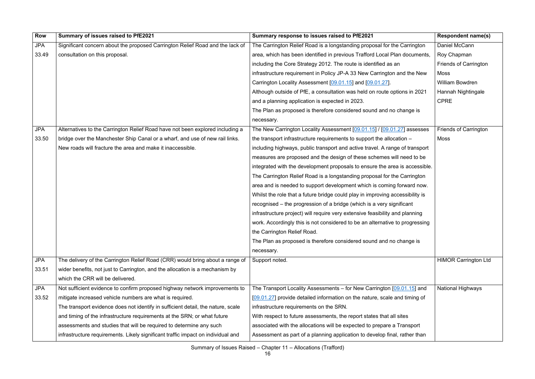| <b>Row</b> | Summary of issues raised to PfE2021                                              | Summary response to issues raised to PfE2021                                  | <b>Respondent name(s)</b>    |
|------------|----------------------------------------------------------------------------------|-------------------------------------------------------------------------------|------------------------------|
| <b>JPA</b> | Significant concern about the proposed Carrington Relief Road and the lack of    | The Carrington Relief Road is a longstanding proposal for the Carrington      | Daniel McCann                |
| 33.49      | consultation on this proposal.                                                   | area, which has been identified in previous Trafford Local Plan documents,    | Roy Chapman                  |
|            |                                                                                  | including the Core Strategy 2012. The route is identified as an               | <b>Friends of Carrington</b> |
|            |                                                                                  | infrastructure requirement in Policy JP-A 33 New Carrington and the New       | Moss                         |
|            |                                                                                  | Carrington Locality Assessment [09.01.15] and [09.01.27].                     | William Bowdren              |
|            |                                                                                  | Although outside of PfE, a consultation was held on route options in 2021     | Hannah Nightingale           |
|            |                                                                                  | and a planning application is expected in 2023.                               | <b>CPRE</b>                  |
|            |                                                                                  | The Plan as proposed is therefore considered sound and no change is           |                              |
|            |                                                                                  | necessary.                                                                    |                              |
| <b>JPA</b> | Alternatives to the Carrington Relief Road have not been explored including a    | The New Carrington Locality Assessment [09.01.15] / [09.01.27] assesses       | <b>Friends of Carrington</b> |
| 33.50      | bridge over the Manchester Ship Canal or a wharf, and use of new rail links.     | the transport infrastructure requirements to support the allocation $-$       | Moss                         |
|            | New roads will fracture the area and make it inaccessible.                       | including highways, public transport and active travel. A range of transport  |                              |
|            |                                                                                  | measures are proposed and the design of these schemes will need to be         |                              |
|            |                                                                                  | integrated with the development proposals to ensure the area is accessible.   |                              |
|            |                                                                                  | The Carrington Relief Road is a longstanding proposal for the Carrington      |                              |
|            |                                                                                  | area and is needed to support development which is coming forward now.        |                              |
|            |                                                                                  | Whilst the role that a future bridge could play in improving accessibility is |                              |
|            |                                                                                  | recognised – the progression of a bridge (which is a very significant         |                              |
|            |                                                                                  | infrastructure project) will require very extensive feasibility and planning  |                              |
|            |                                                                                  | work. Accordingly this is not considered to be an alternative to progressing  |                              |
|            |                                                                                  | the Carrington Relief Road.                                                   |                              |
|            |                                                                                  | The Plan as proposed is therefore considered sound and no change is           |                              |
|            |                                                                                  | necessary.                                                                    |                              |
| <b>JPA</b> | The delivery of the Carrington Relief Road (CRR) would bring about a range of    | Support noted.                                                                | <b>HIMOR Carrington Ltd</b>  |
| 33.51      | wider benefits, not just to Carrington, and the allocation is a mechanism by     |                                                                               |                              |
|            | which the CRR will be delivered.                                                 |                                                                               |                              |
| <b>JPA</b> | Not sufficient evidence to confirm proposed highway network improvements to      | The Transport Locality Assessments – for New Carrington $[09.01.15]$ and      | <b>National Highways</b>     |
| 33.52      | mitigate increased vehicle numbers are what is required.                         | [09.01.27] provide detailed information on the nature, scale and timing of    |                              |
|            | The transport evidence does not identify in sufficient detail, the nature, scale | infrastructure requirements on the SRN.                                       |                              |
|            | and timing of the infrastructure requirements at the SRN; or what future         | With respect to future assessments, the report states that all sites          |                              |
|            | assessments and studies that will be required to determine any such              | associated with the allocations will be expected to prepare a Transport       |                              |
|            | infrastructure requirements. Likely significant traffic impact on individual and | Assessment as part of a planning application to develop final, rather than    |                              |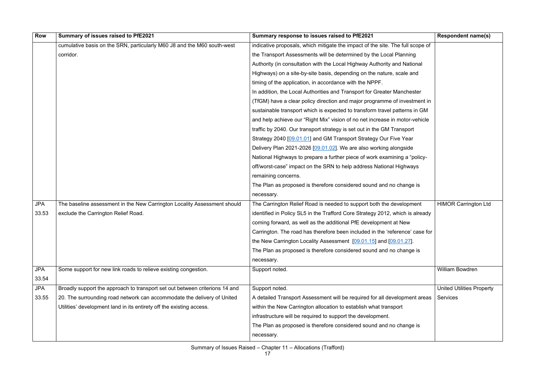| <b>Row</b> | Summary of issues raised to PfE2021                                         | Summary response to issues raised to PfE2021                                   | <b>Respondent name(s)</b>        |
|------------|-----------------------------------------------------------------------------|--------------------------------------------------------------------------------|----------------------------------|
|            | cumulative basis on the SRN, particularly M60 J8 and the M60 south-west     | indicative proposals, which mitigate the impact of the site. The full scope of |                                  |
|            | corridor.                                                                   | the Transport Assessments will be determined by the Local Planning             |                                  |
|            |                                                                             | Authority (in consultation with the Local Highway Authority and National       |                                  |
|            |                                                                             | Highways) on a site-by-site basis, depending on the nature, scale and          |                                  |
|            |                                                                             | timing of the application, in accordance with the NPPF.                        |                                  |
|            |                                                                             | In addition, the Local Authorities and Transport for Greater Manchester        |                                  |
|            |                                                                             | (TfGM) have a clear policy direction and major programme of investment in      |                                  |
|            |                                                                             | sustainable transport which is expected to transform travel patterns in GM     |                                  |
|            |                                                                             | and help achieve our "Right Mix" vision of no net increase in motor-vehicle    |                                  |
|            |                                                                             | traffic by 2040. Our transport strategy is set out in the GM Transport         |                                  |
|            |                                                                             | Strategy 2040 [09.01.01] and GM Transport Strategy Our Five Year               |                                  |
|            |                                                                             | Delivery Plan 2021-2026 [09.01.02]. We are also working alongside              |                                  |
|            |                                                                             | National Highways to prepare a further piece of work examining a "policy-      |                                  |
|            |                                                                             | off/worst-case" impact on the SRN to help address National Highways            |                                  |
|            |                                                                             | remaining concerns.                                                            |                                  |
|            |                                                                             | The Plan as proposed is therefore considered sound and no change is            |                                  |
|            |                                                                             | necessary.                                                                     |                                  |
| <b>JPA</b> | The baseline assessment in the New Carrington Locality Assessment should    | The Carrington Relief Road is needed to support both the development           | <b>HIMOR Carrington Ltd</b>      |
| 33.53      | exclude the Carrington Relief Road.                                         | identified in Policy SL5 in the Trafford Core Strategy 2012, which is already  |                                  |
|            |                                                                             | coming forward, as well as the additional PfE development at New               |                                  |
|            |                                                                             | Carrington. The road has therefore been included in the 'reference' case for   |                                  |
|            |                                                                             | the New Carrington Locality Assessment [09.01.15] and [09.01.27].              |                                  |
|            |                                                                             | The Plan as proposed is therefore considered sound and no change is            |                                  |
|            |                                                                             | necessary.                                                                     |                                  |
| <b>JPA</b> | Some support for new link roads to relieve existing congestion.             | Support noted.                                                                 | <b>William Bowdren</b>           |
| 33.54      |                                                                             |                                                                                |                                  |
| <b>JPA</b> | Broadly support the approach to transport set out between criterions 14 and | Support noted.                                                                 | <b>United Utilities Property</b> |
| 33.55      | 20. The surrounding road network can accommodate the delivery of United     | A detailed Transport Assessment will be required for all development areas     | <b>Services</b>                  |
|            | Utilities' development land in its entirety off the existing access.        | within the New Carrington allocation to establish what transport               |                                  |
|            |                                                                             | infrastructure will be required to support the development.                    |                                  |
|            |                                                                             | The Plan as proposed is therefore considered sound and no change is            |                                  |
|            |                                                                             | necessary.                                                                     |                                  |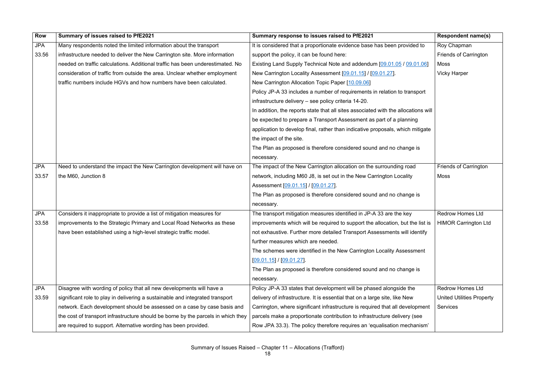| <b>Row</b> | Summary of issues raised to PfE2021                                               | Summary response to issues raised to PfE2021                                       | <b>Respondent name(s)</b>        |
|------------|-----------------------------------------------------------------------------------|------------------------------------------------------------------------------------|----------------------------------|
| <b>JPA</b> | Many respondents noted the limited information about the transport                | It is considered that a proportionate evidence base has been provided to           | Roy Chapman                      |
| 33.56      | infrastructure needed to deliver the New Carrington site. More information        | support the policy, it can be found here:                                          | <b>Friends of Carrington</b>     |
|            | needed on traffic calculations. Additional traffic has been underestimated. No    | Existing Land Supply Technical Note and addendum [09.01.05 / 09.01.06]             | Moss                             |
|            | consideration of traffic from outside the area. Unclear whether employment        | New Carrington Locality Assessment [09.01.15] / [09.01.27].                        | <b>Vicky Harper</b>              |
|            | traffic numbers include HGVs and how numbers have been calculated.                | New Carrington Allocation Topic Paper [10.09.06]                                   |                                  |
|            |                                                                                   | Policy JP-A 33 includes a number of requirements in relation to transport          |                                  |
|            |                                                                                   | infrastructure delivery - see policy criteria 14-20.                               |                                  |
|            |                                                                                   | In addition, the reports state that all sites associated with the allocations will |                                  |
|            |                                                                                   | be expected to prepare a Transport Assessment as part of a planning                |                                  |
|            |                                                                                   | application to develop final, rather than indicative proposals, which mitigate     |                                  |
|            |                                                                                   | the impact of the site.                                                            |                                  |
|            |                                                                                   | The Plan as proposed is therefore considered sound and no change is                |                                  |
|            |                                                                                   | necessary.                                                                         |                                  |
| <b>JPA</b> | Need to understand the impact the New Carrington development will have on         | The impact of the New Carrington allocation on the surrounding road                | <b>Friends of Carrington</b>     |
| 33.57      | the M60, Junction 8                                                               | network, including M60 J8, is set out in the New Carrington Locality               | <b>Moss</b>                      |
|            |                                                                                   | Assessment [09.01.15] / [09.01.27].                                                |                                  |
|            |                                                                                   | The Plan as proposed is therefore considered sound and no change is                |                                  |
|            |                                                                                   | necessary.                                                                         |                                  |
| <b>JPA</b> | Considers it inappropriate to provide a list of mitigation measures for           | The transport mitigation measures identified in JP-A 33 are the key                | <b>Redrow Homes Ltd</b>          |
| 33.58      | improvements to the Strategic Primary and Local Road Networks as these            | improvements which will be required to support the allocation, but the list is     | <b>HIMOR Carrington Ltd</b>      |
|            | have been established using a high-level strategic traffic model.                 | not exhaustive. Further more detailed Transport Assessments will identify          |                                  |
|            |                                                                                   | further measures which are needed.                                                 |                                  |
|            |                                                                                   | The schemes were identified in the New Carrington Locality Assessment              |                                  |
|            |                                                                                   | $[09.01.15] / [09.01.27]$ .                                                        |                                  |
|            |                                                                                   | The Plan as proposed is therefore considered sound and no change is                |                                  |
|            |                                                                                   | necessary.                                                                         |                                  |
| <b>JPA</b> | Disagree with wording of policy that all new developments will have a             | Policy JP-A 33 states that development will be phased alongside the                | <b>Redrow Homes Ltd</b>          |
| 33.59      | significant role to play in delivering a sustainable and integrated transport     | delivery of infrastructure. It is essential that on a large site, like New         | <b>United Utilities Property</b> |
|            | network. Each development should be assessed on a case by case basis and          | Carrington, where significant infrastructure is required that all development      | <b>Services</b>                  |
|            | the cost of transport infrastructure should be borne by the parcels in which they | parcels make a proportionate contribution to infrastructure delivery (see          |                                  |
|            | are required to support. Alternative wording has been provided.                   | Row JPA 33.3). The policy therefore requires an 'equalisation mechanism'           |                                  |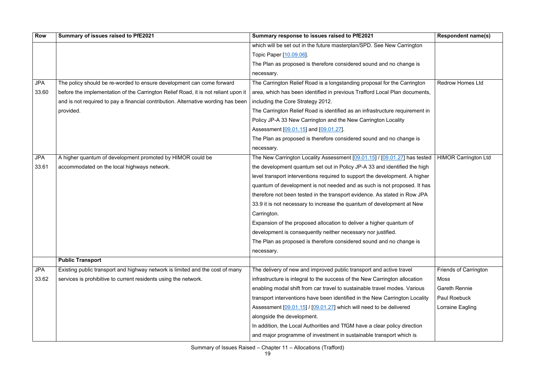| <b>Row</b> | Summary of issues raised to PfE2021                                                | Summary response to issues raised to PfE2021                                 | <b>Respondent name(s)</b>    |
|------------|------------------------------------------------------------------------------------|------------------------------------------------------------------------------|------------------------------|
|            |                                                                                    | which will be set out in the future masterplan/SPD. See New Carrington       |                              |
|            |                                                                                    | Topic Paper [10.09.06].                                                      |                              |
|            |                                                                                    | The Plan as proposed is therefore considered sound and no change is          |                              |
|            |                                                                                    | necessary.                                                                   |                              |
| <b>JPA</b> | The policy should be re-worded to ensure development can come forward              | The Carrington Relief Road is a longstanding proposal for the Carrington     | <b>Redrow Homes Ltd</b>      |
| 33.60      | before the implementation of the Carrington Relief Road, it is not reliant upon it | area, which has been identified in previous Trafford Local Plan documents,   |                              |
|            | and is not required to pay a financial contribution. Alternative wording has been  | including the Core Strategy 2012.                                            |                              |
|            | provided.                                                                          | The Carrington Relief Road is identified as an infrastructure requirement in |                              |
|            |                                                                                    | Policy JP-A 33 New Carrington and the New Carrington Locality                |                              |
|            |                                                                                    | Assessment [09.01.15] and [09.01.27].                                        |                              |
|            |                                                                                    | The Plan as proposed is therefore considered sound and no change is          |                              |
|            |                                                                                    | necessary.                                                                   |                              |
| <b>JPA</b> | A higher quantum of development promoted by HIMOR could be                         | The New Carrington Locality Assessment [09.01.15] / [09.01.27] has tested    | <b>HIMOR Carrington Ltd</b>  |
| 33.61      | accommodated on the local highways network.                                        | the development quantum set out in Policy JP-A 33 and identified the high    |                              |
|            |                                                                                    | level transport interventions required to support the development. A higher  |                              |
|            |                                                                                    | quantum of development is not needed and as such is not proposed. It has     |                              |
|            |                                                                                    | therefore not been tested in the transport evidence. As stated in Row JPA    |                              |
|            |                                                                                    | 33.9 it is not necessary to increase the quantum of development at New       |                              |
|            |                                                                                    | Carrington.                                                                  |                              |
|            |                                                                                    | Expansion of the proposed allocation to deliver a higher quantum of          |                              |
|            |                                                                                    | development is consequently neither necessary nor justified.                 |                              |
|            |                                                                                    | The Plan as proposed is therefore considered sound and no change is          |                              |
|            |                                                                                    | necessary.                                                                   |                              |
|            | <b>Public Transport</b>                                                            |                                                                              |                              |
| <b>JPA</b> | Existing public transport and highway network is limited and the cost of many      | The delivery of new and improved public transport and active travel          | <b>Friends of Carrington</b> |
| 33.62      | services is prohibitive to current residents using the network.                    | infrastructure is integral to the success of the New Carrington allocation   | Moss                         |
|            |                                                                                    | enabling modal shift from car travel to sustainable travel modes. Various    | <b>Gareth Rennie</b>         |
|            |                                                                                    | transport interventions have been identified in the New Carrington Locality  | <b>Paul Roebuck</b>          |
|            |                                                                                    | Assessment [09.01.15] / [09.01.27] which will need to be delivered           | Lorraine Eagling             |
|            |                                                                                    | alongside the development.                                                   |                              |
|            |                                                                                    | In addition, the Local Authorities and TfGM have a clear policy direction    |                              |
|            |                                                                                    | and major programme of investment in sustainable transport which is          |                              |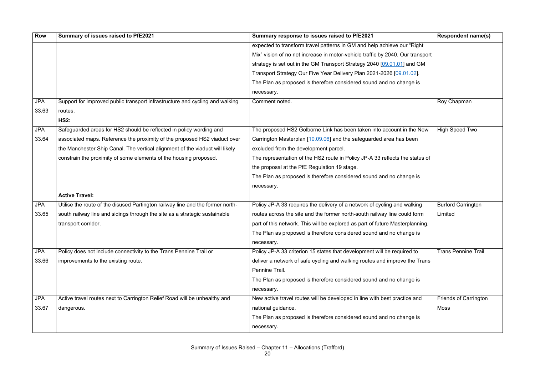| Row        | Summary of issues raised to PfE2021                                            | Summary response to issues raised to PfE2021                                   | <b>Respondent name(s)</b>    |
|------------|--------------------------------------------------------------------------------|--------------------------------------------------------------------------------|------------------------------|
|            |                                                                                | expected to transform travel patterns in GM and help achieve our "Right"       |                              |
|            |                                                                                | Mix" vision of no net increase in motor-vehicle traffic by 2040. Our transport |                              |
|            |                                                                                | strategy is set out in the GM Transport Strategy 2040 [09.01.01] and GM        |                              |
|            |                                                                                | Transport Strategy Our Five Year Delivery Plan 2021-2026 [09.01.02].           |                              |
|            |                                                                                | The Plan as proposed is therefore considered sound and no change is            |                              |
|            |                                                                                | necessary.                                                                     |                              |
| <b>JPA</b> | Support for improved public transport infrastructure and cycling and walking   | Comment noted.                                                                 | Roy Chapman                  |
| 33.63      | routes.                                                                        |                                                                                |                              |
|            | <b>HS2:</b>                                                                    |                                                                                |                              |
| <b>JPA</b> | Safeguarded areas for HS2 should be reflected in policy wording and            | The proposed HS2 Golborne Link has been taken into account in the New          | <b>High Speed Two</b>        |
| 33.64      | associated maps. Reference the proximity of the proposed HS2 viaduct over      | Carrington Masterplan [10.09.06] and the safeguarded area has been             |                              |
|            | the Manchester Ship Canal. The vertical alignment of the viaduct will likely   | excluded from the development parcel.                                          |                              |
|            | constrain the proximity of some elements of the housing proposed.              | The representation of the HS2 route in Policy JP-A 33 reflects the status of   |                              |
|            |                                                                                | the proposal at the PfE Regulation 19 stage.                                   |                              |
|            |                                                                                | The Plan as proposed is therefore considered sound and no change is            |                              |
|            |                                                                                | necessary.                                                                     |                              |
|            | <b>Active Travel:</b>                                                          |                                                                                |                              |
| <b>JPA</b> | Utilise the route of the disused Partington railway line and the former north- | Policy JP-A 33 requires the delivery of a network of cycling and walking       | <b>Burford Carrington</b>    |
| 33.65      | south railway line and sidings through the site as a strategic sustainable     | routes across the site and the former north-south railway line could form      | Limited                      |
|            | transport corridor.                                                            | part of this network. This will be explored as part of future Masterplanning.  |                              |
|            |                                                                                | The Plan as proposed is therefore considered sound and no change is            |                              |
|            |                                                                                | necessary.                                                                     |                              |
| <b>JPA</b> | Policy does not include connectivity to the Trans Pennine Trail or             | Policy JP-A 33 criterion 15 states that development will be required to        | <b>Trans Pennine Trail</b>   |
| 33.66      | improvements to the existing route.                                            | deliver a network of safe cycling and walking routes and improve the Trans     |                              |
|            |                                                                                | Pennine Trail.                                                                 |                              |
|            |                                                                                | The Plan as proposed is therefore considered sound and no change is            |                              |
|            |                                                                                | necessary.                                                                     |                              |
| <b>JPA</b> | Active travel routes next to Carrington Relief Road will be unhealthy and      | New active travel routes will be developed in line with best practice and      | <b>Friends of Carrington</b> |
| 33.67      | dangerous.                                                                     | national guidance.                                                             | <b>Moss</b>                  |
|            |                                                                                | The Plan as proposed is therefore considered sound and no change is            |                              |
|            |                                                                                | necessary.                                                                     |                              |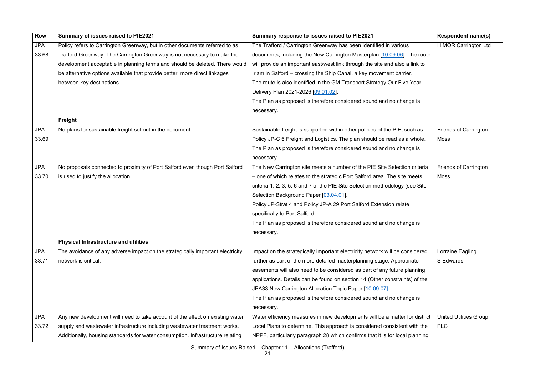| <b>Row</b> | Summary of issues raised to PfE2021                                            | Summary response to issues raised to PfE2021                                 | <b>Respondent name(s)</b>     |
|------------|--------------------------------------------------------------------------------|------------------------------------------------------------------------------|-------------------------------|
| <b>JPA</b> | Policy refers to Carrington Greenway, but in other documents referred to as    | The Trafford / Carrington Greenway has been identified in various            | <b>HIMOR Carrington Ltd</b>   |
| 33.68      | Trafford Greenway. The Carrington Greenway is not necessary to make the        | documents, including the New Carrington Masterplan [10.09.06]. The route     |                               |
|            | development acceptable in planning terms and should be deleted. There would    | will provide an important east/west link through the site and also a link to |                               |
|            | be alternative options available that provide better, more direct linkages     | Irlam in Salford – crossing the Ship Canal, a key movement barrier.          |                               |
|            | between key destinations.                                                      | The route is also identified in the GM Transport Strategy Our Five Year      |                               |
|            |                                                                                | Delivery Plan 2021-2026 [09.01.02].                                          |                               |
|            |                                                                                | The Plan as proposed is therefore considered sound and no change is          |                               |
|            |                                                                                | necessary.                                                                   |                               |
|            | Freight                                                                        |                                                                              |                               |
| <b>JPA</b> | No plans for sustainable freight set out in the document.                      | Sustainable freight is supported within other policies of the PfE, such as   | <b>Friends of Carrington</b>  |
| 33.69      |                                                                                | Policy JP-C 6 Freight and Logistics. The plan should be read as a whole.     | <b>Moss</b>                   |
|            |                                                                                | The Plan as proposed is therefore considered sound and no change is          |                               |
|            |                                                                                | necessary.                                                                   |                               |
| <b>JPA</b> | No proposals connected to proximity of Port Salford even though Port Salford   | The New Carrington site meets a number of the PfE Site Selection criteria    | <b>Friends of Carrington</b>  |
| 33.70      | is used to justify the allocation.                                             | - one of which relates to the strategic Port Salford area. The site meets    | <b>Moss</b>                   |
|            |                                                                                | criteria 1, 2, 3, 5, 6 and 7 of the PfE Site Selection methodology (see Site |                               |
|            |                                                                                | Selection Background Paper [03.04.01].                                       |                               |
|            |                                                                                | Policy JP-Strat 4 and Policy JP-A 29 Port Salford Extension relate           |                               |
|            |                                                                                | specifically to Port Salford.                                                |                               |
|            |                                                                                | The Plan as proposed is therefore considered sound and no change is          |                               |
|            |                                                                                | necessary.                                                                   |                               |
|            | <b>Physical Infrastructure and utilities</b>                                   |                                                                              |                               |
| <b>JPA</b> | The avoidance of any adverse impact on the strategically important electricity | Impact on the strategically important electricity network will be considered | Lorraine Eagling              |
| 33.71      | network is critical.                                                           | further as part of the more detailed masterplanning stage. Appropriate       | S Edwards                     |
|            |                                                                                | easements will also need to be considered as part of any future planning     |                               |
|            |                                                                                | applications. Details can be found on section 14 (Other constraints) of the  |                               |
|            |                                                                                | JPA33 New Carrington Allocation Topic Paper [10.09.07].                      |                               |
|            |                                                                                | The Plan as proposed is therefore considered sound and no change is          |                               |
|            |                                                                                | necessary.                                                                   |                               |
| <b>JPA</b> | Any new development will need to take account of the effect on existing water  | Water efficiency measures in new developments will be a matter for district  | <b>United Utilities Group</b> |
| 33.72      | supply and wastewater infrastructure including wastewater treatment works.     | Local Plans to determine. This approach is considered consistent with the    | <b>PLC</b>                    |
|            | Additionally, housing standards for water consumption. Infrastructure relating | NPPF, particularly paragraph 28 which confirms that it is for local planning |                               |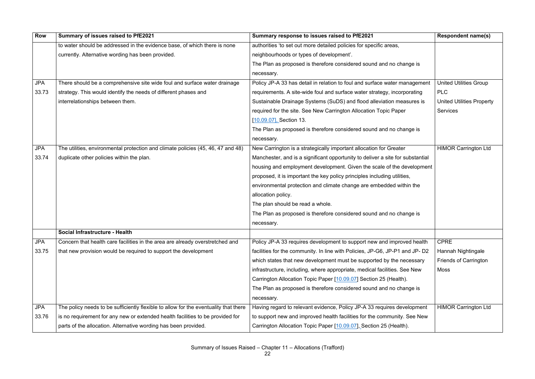| <b>Row</b> | Summary of issues raised to PfE2021                                                  | Summary response to issues raised to PfE2021                                   | <b>Respondent name(s)</b>        |
|------------|--------------------------------------------------------------------------------------|--------------------------------------------------------------------------------|----------------------------------|
|            | to water should be addressed in the evidence base, of which there is none            | authorities 'to set out more detailed policies for specific areas,             |                                  |
|            | currently. Alternative wording has been provided.                                    | neighbourhoods or types of development'.                                       |                                  |
|            |                                                                                      | The Plan as proposed is therefore considered sound and no change is            |                                  |
|            |                                                                                      | necessary.                                                                     |                                  |
| <b>JPA</b> | There should be a comprehensive site wide foul and surface water drainage            | Policy JP-A 33 has detail in relation to foul and surface water management     | <b>United Utilities Group</b>    |
| 33.73      | strategy. This would identify the needs of different phases and                      | requirements. A site-wide foul and surface water strategy, incorporating       | <b>PLC</b>                       |
|            | interrelationships between them.                                                     | Sustainable Drainage Systems (SuDS) and flood alleviation measures is          | <b>United Utilities Property</b> |
|            |                                                                                      | required for the site. See New Carrington Allocation Topic Paper               | <b>Services</b>                  |
|            |                                                                                      | [10.09.07], Section 13.                                                        |                                  |
|            |                                                                                      | The Plan as proposed is therefore considered sound and no change is            |                                  |
|            |                                                                                      | necessary.                                                                     |                                  |
| <b>JPA</b> | The utilities, environmental protection and climate policies (45, 46, 47 and 48)     | New Carrington is a strategically important allocation for Greater             | <b>HIMOR Carrington Ltd</b>      |
| 33.74      | duplicate other policies within the plan.                                            | Manchester, and is a significant opportunity to deliver a site for substantial |                                  |
|            |                                                                                      | housing and employment development. Given the scale of the development         |                                  |
|            |                                                                                      | proposed, it is important the key policy principles including utilities,       |                                  |
|            |                                                                                      | environmental protection and climate change are embedded within the            |                                  |
|            |                                                                                      | allocation policy.                                                             |                                  |
|            |                                                                                      | The plan should be read a whole.                                               |                                  |
|            |                                                                                      | The Plan as proposed is therefore considered sound and no change is            |                                  |
|            |                                                                                      | necessary.                                                                     |                                  |
|            | Social Infrastructure - Health                                                       |                                                                                |                                  |
| <b>JPA</b> | Concern that health care facilities in the area are already overstretched and        | Policy JP-A 33 requires development to support new and improved health         | <b>CPRE</b>                      |
| 33.75      | that new provision would be required to support the development                      | facilities for the community. In line with Policies, JP-G6, JP-P1 and JP-D2    | Hannah Nightingale               |
|            |                                                                                      | which states that new development must be supported by the necessary           | <b>Friends of Carrington</b>     |
|            |                                                                                      | infrastructure, including, where appropriate, medical facilities. See New      | Moss                             |
|            |                                                                                      | Carrington Allocation Topic Paper [10.09.07] Section 25 (Health).              |                                  |
|            |                                                                                      | The Plan as proposed is therefore considered sound and no change is            |                                  |
|            |                                                                                      | necessary.                                                                     |                                  |
| <b>JPA</b> | The policy needs to be sufficiently flexible to allow for the eventuality that there | Having regard to relevant evidence, Policy JP-A 33 requires development        | <b>HIMOR Carrington Ltd</b>      |
| 33.76      | is no requirement for any new or extended health facilities to be provided for       | to support new and improved health facilities for the community. See New       |                                  |
|            | parts of the allocation. Alternative wording has been provided.                      | Carrington Allocation Topic Paper [10.09.07], Section 25 (Health).             |                                  |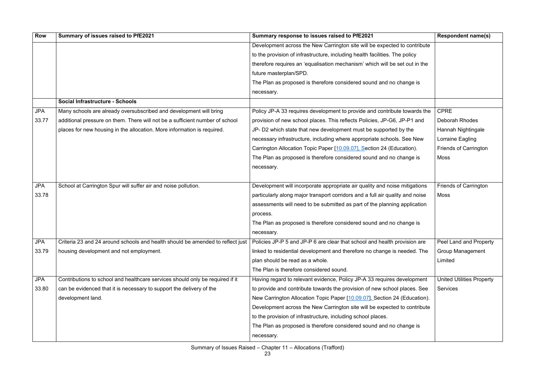| <b>Row</b> | Summary of issues raised to PfE2021                                            | Summary response to issues raised to PfE2021                                  | <b>Respondent name(s)</b>        |
|------------|--------------------------------------------------------------------------------|-------------------------------------------------------------------------------|----------------------------------|
|            |                                                                                | Development across the New Carrington site will be expected to contribute     |                                  |
|            |                                                                                | to the provision of infrastructure, including health facilities. The policy   |                                  |
|            |                                                                                | therefore requires an 'equalisation mechanism' which will be set out in the   |                                  |
|            |                                                                                | future masterplan/SPD.                                                        |                                  |
|            |                                                                                | The Plan as proposed is therefore considered sound and no change is           |                                  |
|            |                                                                                | necessary.                                                                    |                                  |
|            | <b>Social Infrastructure - Schools</b>                                         |                                                                               |                                  |
| <b>JPA</b> | Many schools are already oversubscribed and development will bring             | Policy JP-A 33 requires development to provide and contribute towards the     | <b>CPRE</b>                      |
| 33.77      | additional pressure on them. There will not be a sufficient number of school   | provision of new school places. This reflects Policies, JP-G6, JP-P1 and      | <b>Deborah Rhodes</b>            |
|            | places for new housing in the allocation. More information is required.        | JP- D2 which state that new development must be supported by the              | Hannah Nightingale               |
|            |                                                                                | necessary infrastructure, including where appropriate schools. See New        | Lorraine Eagling                 |
|            |                                                                                | Carrington Allocation Topic Paper [10.09.07], Section 24 (Education).         | <b>Friends of Carrington</b>     |
|            |                                                                                | The Plan as proposed is therefore considered sound and no change is           | Moss                             |
|            |                                                                                | necessary.                                                                    |                                  |
|            |                                                                                |                                                                               |                                  |
| <b>JPA</b> | School at Carrington Spur will suffer air and noise pollution.                 | Development will incorporate appropriate air quality and noise mitigations    | <b>Friends of Carrington</b>     |
| 33.78      |                                                                                | particularly along major transport corridors and a full air quality and noise | Moss                             |
|            |                                                                                | assessments will need to be submitted as part of the planning application     |                                  |
|            |                                                                                | process.                                                                      |                                  |
|            |                                                                                | The Plan as proposed is therefore considered sound and no change is           |                                  |
|            |                                                                                | hecessary.                                                                    |                                  |
| <b>JPA</b> | Criteria 23 and 24 around schools and health should be amended to reflect just | Policies JP-P 5 and JP-P 6 are clear that school and health provision are     | Peel Land and Property           |
| 33.79      | housing development and not employment.                                        | linked to residential development and therefore no change is needed. The      | <b>Group Management</b>          |
|            |                                                                                | plan should be read as a whole.                                               | Limited                          |
|            |                                                                                | The Plan is therefore considered sound.                                       |                                  |
| <b>JPA</b> | Contributions to school and healthcare services should only be required if it  | Having regard to relevant evidence, Policy JP-A 33 requires development       | <b>United Utilities Property</b> |
| 33.80      | can be evidenced that it is necessary to support the delivery of the           | to provide and contribute towards the provision of new school places. See     | <b>Services</b>                  |
|            | development land.                                                              | New Carrington Allocation Topic Paper [10.09.07], Section 24 (Education).     |                                  |
|            |                                                                                | Development across the New Carrington site will be expected to contribute     |                                  |
|            |                                                                                | to the provision of infrastructure, including school places.                  |                                  |
|            |                                                                                | The Plan as proposed is therefore considered sound and no change is           |                                  |
|            |                                                                                | necessary.                                                                    |                                  |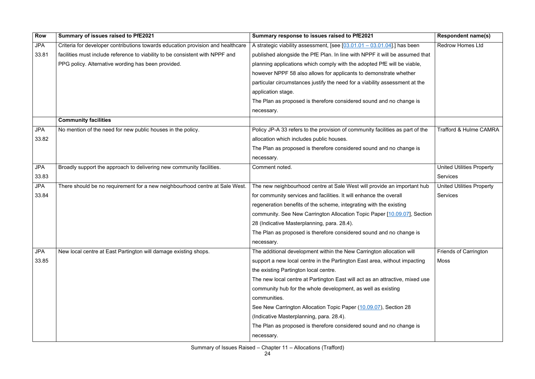| <b>Row</b> | Summary of issues raised to PfE2021                                             | Summary response to issues raised to PfE2021                                  | <b>Respondent name(s)</b>         |
|------------|---------------------------------------------------------------------------------|-------------------------------------------------------------------------------|-----------------------------------|
| <b>JPA</b> | Criteria for developer contributions towards education provision and healthcare | A strategic viability assessment, [see $[03.01.01 - 03.01.04]$ ] has been     | <b>Redrow Homes Ltd</b>           |
| 33.81      | facilities must include reference to viability to be consistent with NPPF and   | published alongside the PfE Plan. In line with NPPF it will be assumed that   |                                   |
|            | PPG policy. Alternative wording has been provided.                              | planning applications which comply with the adopted PfE will be viable,       |                                   |
|            |                                                                                 | however NPPF 58 also allows for applicants to demonstrate whether             |                                   |
|            |                                                                                 | particular circumstances justify the need for a viability assessment at the   |                                   |
|            |                                                                                 | application stage.                                                            |                                   |
|            |                                                                                 | The Plan as proposed is therefore considered sound and no change is           |                                   |
|            |                                                                                 | necessary.                                                                    |                                   |
|            | <b>Community facilities</b>                                                     |                                                                               |                                   |
| <b>JPA</b> | No mention of the need for new public houses in the policy.                     | Policy JP-A 33 refers to the provision of community facilities as part of the | <b>Trafford &amp; Hulme CAMRA</b> |
| 33.82      |                                                                                 | allocation which includes public houses.                                      |                                   |
|            |                                                                                 | The Plan as proposed is therefore considered sound and no change is           |                                   |
|            |                                                                                 | necessary.                                                                    |                                   |
| <b>JPA</b> | Broadly support the approach to delivering new community facilities.            | Comment noted.                                                                | <b>United Utilities Property</b>  |
| 33.83      |                                                                                 |                                                                               | <b>Services</b>                   |
| <b>JPA</b> | There should be no requirement for a new neighbourhood centre at Sale West.     | The new neighbourhood centre at Sale West will provide an important hub       | <b>United Utilities Property</b>  |
| 33.84      |                                                                                 | for community services and facilities. It will enhance the overall            | <b>Services</b>                   |
|            |                                                                                 | regeneration benefits of the scheme, integrating with the existing            |                                   |
|            |                                                                                 | community. See New Carrington Allocation Topic Paper [10.09.07], Section      |                                   |
|            |                                                                                 | 28 (Indicative Masterplanning, para. 28.4).                                   |                                   |
|            |                                                                                 | The Plan as proposed is therefore considered sound and no change is           |                                   |
|            |                                                                                 | necessary.                                                                    |                                   |
| <b>JPA</b> | New local centre at East Partington will damage existing shops.                 | The additional development within the New Carrington allocation will          | <b>Friends of Carrington</b>      |
| 33.85      |                                                                                 | support a new local centre in the Partington East area, without impacting     | Moss                              |
|            |                                                                                 | the existing Partington local centre.                                         |                                   |
|            |                                                                                 | The new local centre at Partington East will act as an attractive, mixed use  |                                   |
|            |                                                                                 | community hub for the whole development, as well as existing                  |                                   |
|            |                                                                                 | communities.                                                                  |                                   |
|            |                                                                                 | See New Carrington Allocation Topic Paper (10.09.07), Section 28              |                                   |
|            |                                                                                 | (Indicative Masterplanning, para. 28.4).                                      |                                   |
|            |                                                                                 | The Plan as proposed is therefore considered sound and no change is           |                                   |
|            |                                                                                 | necessary.                                                                    |                                   |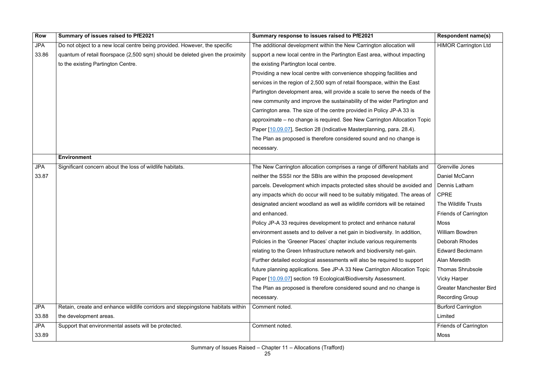| <b>Row</b> | Summary of issues raised to PfE2021                                             | Summary response to issues raised to PfE2021                                | <b>Respondent name(s)</b>      |
|------------|---------------------------------------------------------------------------------|-----------------------------------------------------------------------------|--------------------------------|
| <b>JPA</b> | Do not object to a new local centre being provided. However, the specific       | The additional development within the New Carrington allocation will        | <b>HIMOR Carrington Ltd</b>    |
| 33.86      | quantum of retail floorspace (2,500 sqm) should be deleted given the proximity  | support a new local centre in the Partington East area, without impacting   |                                |
|            | to the existing Partington Centre.                                              | the existing Partington local centre.                                       |                                |
|            |                                                                                 | Providing a new local centre with convenience shopping facilities and       |                                |
|            |                                                                                 | services in the region of 2,500 sqm of retail floorspace, within the East   |                                |
|            |                                                                                 | Partington development area, will provide a scale to serve the needs of the |                                |
|            |                                                                                 | new community and improve the sustainability of the wider Partington and    |                                |
|            |                                                                                 | Carrington area. The size of the centre provided in Policy JP-A 33 is       |                                |
|            |                                                                                 | approximate – no change is required. See New Carrington Allocation Topic    |                                |
|            |                                                                                 | Paper [10.09.07], Section 28 (Indicative Masterplanning, para. 28.4).       |                                |
|            |                                                                                 | The Plan as proposed is therefore considered sound and no change is         |                                |
|            |                                                                                 | necessary.                                                                  |                                |
|            | <b>Environment</b>                                                              |                                                                             |                                |
| <b>JPA</b> | Significant concern about the loss of wildlife habitats.                        | The New Carrington allocation comprises a range of different habitats and   | Grenville Jones                |
| 33.87      |                                                                                 | neither the SSSI nor the SBIs are within the proposed development           | Daniel McCann                  |
|            |                                                                                 | parcels. Development which impacts protected sites should be avoided and    | Dennis Latham                  |
|            |                                                                                 | any impacts which do occur will need to be suitably mitigated. The areas of | <b>CPRE</b>                    |
|            |                                                                                 | designated ancient woodland as well as wildlife corridors will be retained  | The Wildlife Trusts            |
|            |                                                                                 | and enhanced.                                                               | <b>Friends of Carrington</b>   |
|            |                                                                                 | Policy JP-A 33 requires development to protect and enhance natural          | Moss                           |
|            |                                                                                 | environment assets and to deliver a net gain in biodiversity. In addition,  | <b>William Bowdren</b>         |
|            |                                                                                 | Policies in the 'Greener Places' chapter include various requirements       | Deborah Rhodes                 |
|            |                                                                                 | relating to the Green Infrastructure network and biodiversity net-gain.     | <b>Edward Beckmann</b>         |
|            |                                                                                 | Further detailed ecological assessments will also be required to support    | Alan Meredith                  |
|            |                                                                                 | future planning applications. See JP-A 33 New Carrington Allocation Topic   | <b>Thomas Shrubsole</b>        |
|            |                                                                                 | Paper [10.09.07] section 19 Ecological/Biodiversity Assessment.             | <b>Vicky Harper</b>            |
|            |                                                                                 | The Plan as proposed is therefore considered sound and no change is         | <b>Greater Manchester Bird</b> |
|            |                                                                                 | necessary.                                                                  | <b>Recording Group</b>         |
| <b>JPA</b> | Retain, create and enhance wildlife corridors and steppingstone habitats within | Comment noted.                                                              | <b>Burford Carrington</b>      |
| 33.88      | the development areas.                                                          |                                                                             | Limited                        |
| <b>JPA</b> | Support that environmental assets will be protected.                            | Comment noted.                                                              | <b>Friends of Carrington</b>   |
| 33.89      |                                                                                 |                                                                             | Moss                           |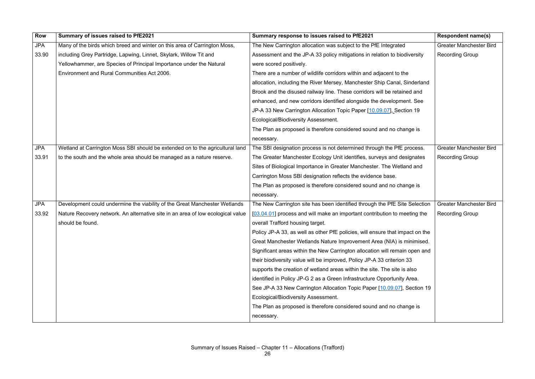| Row        | Summary of issues raised to PfE2021                                             | Summary response to issues raised to PfE2021                                  | <b>Respondent name(s)</b>      |
|------------|---------------------------------------------------------------------------------|-------------------------------------------------------------------------------|--------------------------------|
| <b>JPA</b> | Many of the birds which breed and winter on this area of Carrington Moss,       | The New Carrington allocation was subject to the PfE Integrated               | <b>Greater Manchester Bird</b> |
| 33.90      | including Grey Partridge, Lapwing, Linnet, Skylark, Willow Tit and              | Assessment and the JP-A 33 policy mitigations in relation to biodiversity     | <b>Recording Group</b>         |
|            | Yellowhammer, are Species of Principal Importance under the Natural             | were scored positively.                                                       |                                |
|            | <b>Environment and Rural Communities Act 2006.</b>                              | There are a number of wildlife corridors within and adjacent to the           |                                |
|            |                                                                                 | allocation, including the River Mersey, Manchester Ship Canal, Sinderland     |                                |
|            |                                                                                 | Brook and the disused railway line. These corridors will be retained and      |                                |
|            |                                                                                 | enhanced, and new corridors identified alongside the development. See         |                                |
|            |                                                                                 | JP-A 33 New Carrington Allocation Topic Paper [10.09.07], Section 19          |                                |
|            |                                                                                 | <b>Ecological/Biodiversity Assessment.</b>                                    |                                |
|            |                                                                                 | The Plan as proposed is therefore considered sound and no change is           |                                |
|            |                                                                                 | necessary.                                                                    |                                |
| <b>JPA</b> | Wetland at Carrington Moss SBI should be extended on to the agricultural land   | The SBI designation process is not determined through the PfE process.        | <b>Greater Manchester Bird</b> |
| 33.91      | to the south and the whole area should be managed as a nature reserve.          | The Greater Manchester Ecology Unit identifies, surveys and designates        | <b>Recording Group</b>         |
|            |                                                                                 | Sites of Biological Importance in Greater Manchester. The Wetland and         |                                |
|            |                                                                                 | Carrington Moss SBI designation reflects the evidence base.                   |                                |
|            |                                                                                 | The Plan as proposed is therefore considered sound and no change is           |                                |
|            |                                                                                 | necessary.                                                                    |                                |
| <b>JPA</b> | Development could undermine the viability of the Great Manchester Wetlands      | The New Carrington site has been identified through the PfE Site Selection    | <b>Greater Manchester Bird</b> |
| 33.92      | Nature Recovery network. An alternative site in an area of low ecological value | [03.04.01] process and will make an important contribution to meeting the     | <b>Recording Group</b>         |
|            | should be found.                                                                | overall Trafford housing target.                                              |                                |
|            |                                                                                 | Policy JP-A 33, as well as other PfE policies, will ensure that impact on the |                                |
|            |                                                                                 | Great Manchester Wetlands Nature Improvement Area (NIA) is minimised.         |                                |
|            |                                                                                 | Significant areas within the New Carrington allocation will remain open and   |                                |
|            |                                                                                 | their biodiversity value will be improved, Policy JP-A 33 criterion 33        |                                |
|            |                                                                                 | supports the creation of wetland areas within the site. The site is also      |                                |
|            |                                                                                 | identified in Policy JP-G 2 as a Green Infrastructure Opportunity Area.       |                                |
|            |                                                                                 | See JP-A 33 New Carrington Allocation Topic Paper [10.09.07], Section 19      |                                |
|            |                                                                                 | Ecological/Biodiversity Assessment.                                           |                                |
|            |                                                                                 | The Plan as proposed is therefore considered sound and no change is           |                                |
|            |                                                                                 | necessary.                                                                    |                                |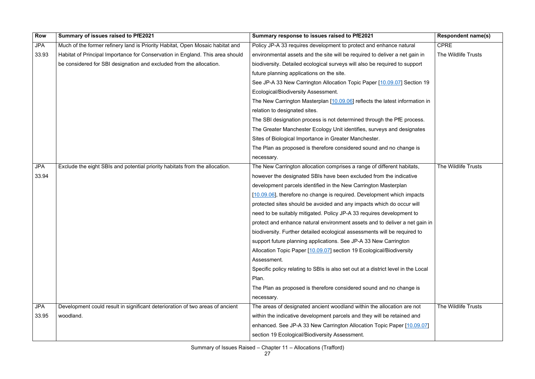| <b>Row</b> | Summary of issues raised to PfE2021                                           | Summary response to issues raised to PfE2021                                      | <b>Respondent name(s)</b> |
|------------|-------------------------------------------------------------------------------|-----------------------------------------------------------------------------------|---------------------------|
| <b>JPA</b> | Much of the former refinery land is Priority Habitat, Open Mosaic habitat and | Policy JP-A 33 requires development to protect and enhance natural                | <b>CPRE</b>               |
| 33.93      | Habitat of Principal Importance for Conservation in England. This area should | environmental assets and the site will be required to deliver a net gain in       | The Wildlife Trusts       |
|            | be considered for SBI designation and excluded from the allocation.           | biodiversity. Detailed ecological surveys will also be required to support        |                           |
|            |                                                                               | future planning applications on the site.                                         |                           |
|            |                                                                               | See JP-A 33 New Carrington Allocation Topic Paper [10.09.07] Section 19           |                           |
|            |                                                                               | Ecological/Biodiversity Assessment.                                               |                           |
|            |                                                                               | The New Carrington Masterplan [10.09.06] reflects the latest information in       |                           |
|            |                                                                               | relation to designated sites.                                                     |                           |
|            |                                                                               | The SBI designation process is not determined through the PfE process.            |                           |
|            |                                                                               | The Greater Manchester Ecology Unit identifies, surveys and designates            |                           |
|            |                                                                               | Sites of Biological Importance in Greater Manchester.                             |                           |
|            |                                                                               | The Plan as proposed is therefore considered sound and no change is               |                           |
|            |                                                                               | necessary.                                                                        |                           |
| <b>JPA</b> | Exclude the eight SBIs and potential priority habitats from the allocation.   | The New Carrington allocation comprises a range of different habitats,            | The Wildlife Trusts       |
| 33.94      |                                                                               | however the designated SBIs have been excluded from the indicative                |                           |
|            |                                                                               | development parcels identified in the New Carrington Masterplan                   |                           |
|            |                                                                               | [10.09.06], therefore no change is required. Development which impacts            |                           |
|            |                                                                               | protected sites should be avoided and any impacts which do occur will             |                           |
|            |                                                                               | need to be suitably mitigated. Policy JP-A 33 requires development to             |                           |
|            |                                                                               | protect and enhance natural environment assets and to deliver a net gain in       |                           |
|            |                                                                               | biodiversity. Further detailed ecological assessments will be required to         |                           |
|            |                                                                               | support future planning applications. See JP-A 33 New Carrington                  |                           |
|            |                                                                               | Allocation Topic Paper [10.09.07] section 19 Ecological/Biodiversity              |                           |
|            |                                                                               | Assessment.                                                                       |                           |
|            |                                                                               | Specific policy relating to SBIs is also set out at a district level in the Local |                           |
|            |                                                                               | Plan.                                                                             |                           |
|            |                                                                               | The Plan as proposed is therefore considered sound and no change is               |                           |
|            |                                                                               | necessary.                                                                        |                           |
| <b>JPA</b> | Development could result in significant deterioration of two areas of ancient | The areas of designated ancient woodland within the allocation are not            | The Wildlife Trusts       |
| 33.95      | woodland.                                                                     | within the indicative development parcels and they will be retained and           |                           |
|            |                                                                               | enhanced. See JP-A 33 New Carrington Allocation Topic Paper [10.09.07]            |                           |
|            |                                                                               | section 19 Ecological/Biodiversity Assessment.                                    |                           |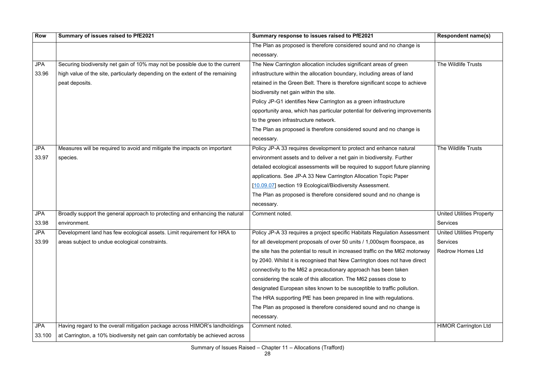| <b>Row</b> | Summary of issues raised to PfE2021                                           | Summary response to issues raised to PfE2021                                                          | <b>Respondent name(s)</b>        |
|------------|-------------------------------------------------------------------------------|-------------------------------------------------------------------------------------------------------|----------------------------------|
|            |                                                                               | The Plan as proposed is therefore considered sound and no change is                                   |                                  |
|            |                                                                               | necessary.                                                                                            |                                  |
| <b>JPA</b> | Securing biodiversity net gain of 10% may not be possible due to the current  | The New Carrington allocation includes significant areas of green                                     | <b>The Wildlife Trusts</b>       |
| 33.96      | high value of the site, particularly depending on the extent of the remaining | infrastructure within the allocation boundary, including areas of land                                |                                  |
|            | peat deposits.                                                                | retained in the Green Belt. There is therefore significant scope to achieve                           |                                  |
|            |                                                                               | biodiversity net gain within the site.                                                                |                                  |
|            |                                                                               | Policy JP-G1 identifies New Carrington as a green infrastructure                                      |                                  |
|            |                                                                               | opportunity area, which has particular potential for delivering improvements                          |                                  |
|            |                                                                               | to the green infrastructure network.                                                                  |                                  |
|            |                                                                               | The Plan as proposed is therefore considered sound and no change is                                   |                                  |
|            |                                                                               | necessary.                                                                                            |                                  |
| <b>JPA</b> | Measures will be required to avoid and mitigate the impacts on important      | Policy JP-A 33 requires development to protect and enhance natural                                    | The Wildlife Trusts              |
| 33.97      | species.                                                                      | environment assets and to deliver a net gain in biodiversity. Further                                 |                                  |
|            |                                                                               | detailed ecological assessments will be required to support future planning                           |                                  |
|            |                                                                               | applications. See JP-A 33 New Carrington Allocation Topic Paper                                       |                                  |
|            |                                                                               | [10.09.07] section 19 Ecological/Biodiversity Assessment.                                             |                                  |
|            |                                                                               | The Plan as proposed is therefore considered sound and no change is                                   |                                  |
|            |                                                                               | necessary.                                                                                            |                                  |
| <b>JPA</b> | Broadly support the general approach to protecting and enhancing the natural  | Comment noted.                                                                                        | <b>United Utilities Property</b> |
| 33.98      | environment.                                                                  |                                                                                                       | <b>Services</b>                  |
| <b>JPA</b> | Development land has few ecological assets. Limit requirement for HRA to      | Policy JP-A 33 requires a project specific Habitats Regulation Assessment   United Utilities Property |                                  |
| 33.99      | areas subject to undue ecological constraints.                                | for all development proposals of over 50 units / 1,000sqm floorspace, as                              | <b>Services</b>                  |
|            |                                                                               | the site has the potential to result in increased traffic on the M62 motorway                         | <b>Redrow Homes Ltd</b>          |
|            |                                                                               | by 2040. Whilst it is recognised that New Carrington does not have direct                             |                                  |
|            |                                                                               | connectivity to the M62 a precautionary approach has been taken                                       |                                  |
|            |                                                                               | considering the scale of this allocation. The M62 passes close to                                     |                                  |
|            |                                                                               | designated European sites known to be susceptible to traffic pollution.                               |                                  |
|            |                                                                               | The HRA supporting PfE has been prepared in line with regulations.                                    |                                  |
|            |                                                                               | The Plan as proposed is therefore considered sound and no change is                                   |                                  |
|            |                                                                               | necessary.                                                                                            |                                  |
| <b>JPA</b> | Having regard to the overall mitigation package across HIMOR's landholdings   | Comment noted.                                                                                        | <b>HIMOR Carrington Ltd</b>      |
| 33.100     | at Carrington, a 10% biodiversity net gain can comfortably be achieved across |                                                                                                       |                                  |
|            |                                                                               |                                                                                                       |                                  |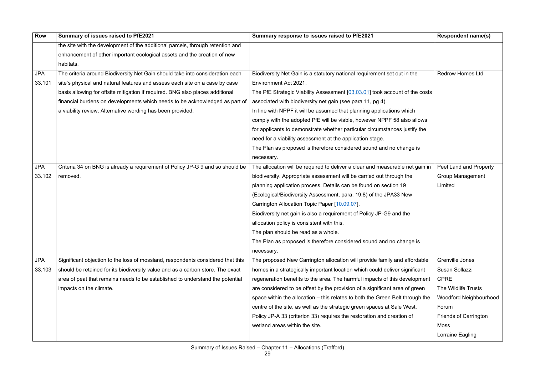| <b>Row</b> | Summary of issues raised to PfE2021                                             | Summary response to issues raised to PfE2021                                  | <b>Respondent name(s)</b>     |
|------------|---------------------------------------------------------------------------------|-------------------------------------------------------------------------------|-------------------------------|
|            | the site with the development of the additional parcels, through retention and  |                                                                               |                               |
|            | enhancement of other important ecological assets and the creation of new        |                                                                               |                               |
|            | habitats.                                                                       |                                                                               |                               |
| <b>JPA</b> | The criteria around Biodiversity Net Gain should take into consideration each   | Biodiversity Net Gain is a statutory national requirement set out in the      | <b>Redrow Homes Ltd</b>       |
| 33.101     | site's physical and natural features and assess each site on a case by case     | Environment Act 2021.                                                         |                               |
|            | basis allowing for offsite mitigation if required. BNG also places additional   | The PfE Strategic Viability Assessment [03.03.01] took account of the costs   |                               |
|            | financial burdens on developments which needs to be acknowledged as part of     | associated with biodiversity net gain (see para 11, pg 4).                    |                               |
|            | a viability review. Alternative wording has been provided.                      | In line with NPPF it will be assumed that planning applications which         |                               |
|            |                                                                                 | comply with the adopted PfE will be viable, however NPPF 58 also allows       |                               |
|            |                                                                                 | for applicants to demonstrate whether particular circumstances justify the    |                               |
|            |                                                                                 | need for a viability assessment at the application stage.                     |                               |
|            |                                                                                 | The Plan as proposed is therefore considered sound and no change is           |                               |
|            |                                                                                 | necessary.                                                                    |                               |
| <b>JPA</b> | Criteria 34 on BNG is already a requirement of Policy JP-G 9 and so should be   | The allocation will be required to deliver a clear and measurable net gain in | Peel Land and Property        |
| 33.102     | removed.                                                                        | biodiversity. Appropriate assessment will be carried out through the          | <b>Group Management</b>       |
|            |                                                                                 | planning application process. Details can be found on section 19              | Limited                       |
|            |                                                                                 | (Ecological/Biodiversity Assessment, para. 19.8) of the JPA33 New             |                               |
|            |                                                                                 | Carrington Allocation Topic Paper [10.09.07].                                 |                               |
|            |                                                                                 | Biodiversity net gain is also a requirement of Policy JP-G9 and the           |                               |
|            |                                                                                 | allocation policy is consistent with this.                                    |                               |
|            |                                                                                 | The plan should be read as a whole.                                           |                               |
|            |                                                                                 | The Plan as proposed is therefore considered sound and no change is           |                               |
|            |                                                                                 | necessary.                                                                    |                               |
| <b>JPA</b> | Significant objection to the loss of mossland, respondents considered that this | The proposed New Carrington allocation will provide family and affordable     | <b>Grenville Jones</b>        |
| 33.103     | should be retained for its biodiversity value and as a carbon store. The exact  | homes in a strategically important location which could deliver significant   | Susan Sollazzi                |
|            | area of peat that remains needs to be established to understand the potential   | regeneration benefits to the area. The harmful impacts of this development    | <b>CPRE</b>                   |
|            | impacts on the climate.                                                         | are considered to be offset by the provision of a significant area of green   | The Wildlife Trusts           |
|            |                                                                                 | space within the allocation – this relates to both the Green Belt through the | <b>Woodford Neighbourhood</b> |
|            |                                                                                 | centre of the site, as well as the strategic green spaces at Sale West.       | Forum                         |
|            |                                                                                 | Policy JP-A 33 (criterion 33) requires the restoration and creation of        | <b>Friends of Carrington</b>  |
|            |                                                                                 | wetland areas within the site.                                                | Moss                          |
|            |                                                                                 |                                                                               | Lorraine Eagling              |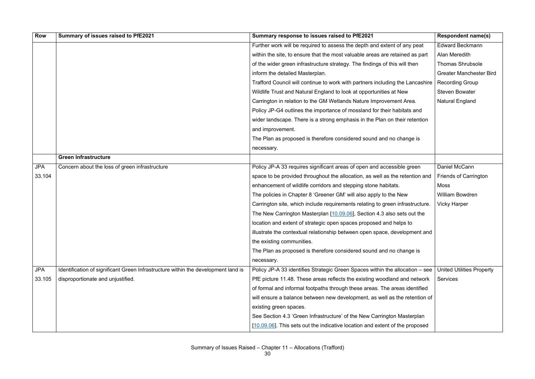| <b>Row</b> | Summary of issues raised to PfE2021                                               | Summary response to issues raised to PfE2021                                  | <b>Respondent name(s)</b>        |
|------------|-----------------------------------------------------------------------------------|-------------------------------------------------------------------------------|----------------------------------|
|            |                                                                                   | Further work will be required to assess the depth and extent of any peat      | <b>Edward Beckmann</b>           |
|            |                                                                                   | within the site, to ensure that the most valuable areas are retained as part  | Alan Meredith                    |
|            |                                                                                   | of the wider green infrastructure strategy. The findings of this will then    | <b>Thomas Shrubsole</b>          |
|            |                                                                                   | inform the detailed Masterplan.                                               | <b>Greater Manchester Bird</b>   |
|            |                                                                                   | Trafford Council will continue to work with partners including the Lancashire | <b>Recording Group</b>           |
|            |                                                                                   | Wildlife Trust and Natural England to look at opportunities at New            | <b>Steven Bowater</b>            |
|            |                                                                                   | Carrington in relation to the GM Wetlands Nature Improvement Area.            | <b>Natural England</b>           |
|            |                                                                                   | Policy JP-G4 outlines the importance of mossland for their habitats and       |                                  |
|            |                                                                                   | wider landscape. There is a strong emphasis in the Plan on their retention    |                                  |
|            |                                                                                   | and improvement.                                                              |                                  |
|            |                                                                                   | The Plan as proposed is therefore considered sound and no change is           |                                  |
|            |                                                                                   | necessary.                                                                    |                                  |
|            | <b>Green Infrastructure</b>                                                       |                                                                               |                                  |
| <b>JPA</b> | Concern about the loss of green infrastructure                                    | Policy JP-A 33 requires significant areas of open and accessible green        | Daniel McCann                    |
| 33.104     |                                                                                   | space to be provided throughout the allocation, as well as the retention and  | <b>Friends of Carrington</b>     |
|            |                                                                                   | enhancement of wildlife corridors and stepping stone habitats.                | Moss                             |
|            |                                                                                   | The policies in Chapter 8 'Greener GM' will also apply to the New             | <b>William Bowdren</b>           |
|            |                                                                                   | Carrington site, which include requirements relating to green infrastructure. | <b>Vicky Harper</b>              |
|            |                                                                                   | The New Carrington Masterplan [10.09.06], Section 4.3 also sets out the       |                                  |
|            |                                                                                   | location and extent of strategic open spaces proposed and helps to            |                                  |
|            |                                                                                   | illustrate the contextual relationship between open space, development and    |                                  |
|            |                                                                                   | the existing communities.                                                     |                                  |
|            |                                                                                   | The Plan as proposed is therefore considered sound and no change is           |                                  |
|            |                                                                                   | necessary.                                                                    |                                  |
| <b>JPA</b> | Identification of significant Green Infrastructure within the development land is | Policy JP-A 33 identifies Strategic Green Spaces within the allocation – see  | <b>United Utilities Property</b> |
| 33.105     | disproportionate and unjustified.                                                 | PfE picture 11.48. These areas reflects the existing woodland and network     | <b>Services</b>                  |
|            |                                                                                   | of formal and informal footpaths through these areas. The areas identified    |                                  |
|            |                                                                                   | will ensure a balance between new development, as well as the retention of    |                                  |
|            |                                                                                   | existing green spaces.                                                        |                                  |
|            |                                                                                   | See Section 4.3 'Green Infrastructure' of the New Carrington Masterplan       |                                  |
|            |                                                                                   | [10.09.06]. This sets out the indicative location and extent of the proposed  |                                  |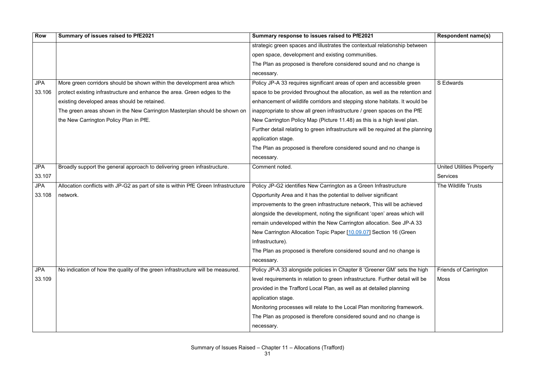| <b>Row</b> | Summary of issues raised to PfE2021                                                | Summary response to issues raised to PfE2021                                     | <b>Respondent name(s)</b>        |
|------------|------------------------------------------------------------------------------------|----------------------------------------------------------------------------------|----------------------------------|
|            |                                                                                    | strategic green spaces and illustrates the contextual relationship between       |                                  |
|            |                                                                                    | open space, development and existing communities.                                |                                  |
|            |                                                                                    | The Plan as proposed is therefore considered sound and no change is              |                                  |
|            |                                                                                    | necessary.                                                                       |                                  |
| <b>JPA</b> | More green corridors should be shown within the development area which             | Policy JP-A 33 requires significant areas of open and accessible green           | S Edwards                        |
| 33.106     | protect existing infrastructure and enhance the area. Green edges to the           | space to be provided throughout the allocation, as well as the retention and     |                                  |
|            | existing developed areas should be retained.                                       | enhancement of wildlife corridors and stepping stone habitats. It would be       |                                  |
|            | The green areas shown in the New Carrington Masterplan should be shown on          | inappropriate to show all green infrastructure / green spaces on the PfE         |                                  |
|            | the New Carrington Policy Plan in PfE.                                             | New Carrington Policy Map (Picture 11.48) as this is a high level plan.          |                                  |
|            |                                                                                    | Further detail relating to green infrastructure will be required at the planning |                                  |
|            |                                                                                    | application stage.                                                               |                                  |
|            |                                                                                    | The Plan as proposed is therefore considered sound and no change is              |                                  |
|            |                                                                                    | necessary.                                                                       |                                  |
| <b>JPA</b> | Broadly support the general approach to delivering green infrastructure.           | Comment noted.                                                                   | <b>United Utilities Property</b> |
| 33.107     |                                                                                    |                                                                                  | <b>Services</b>                  |
| <b>JPA</b> | Allocation conflicts with JP-G2 as part of site is within PfE Green Infrastructure | Policy JP-G2 identifies New Carrington as a Green Infrastructure                 | The Wildlife Trusts              |
| 33.108     | network.                                                                           | Opportunity Area and it has the potential to deliver significant                 |                                  |
|            |                                                                                    | improvements to the green infrastructure network, This will be achieved          |                                  |
|            |                                                                                    | alongside the development, noting the significant 'open' areas which will        |                                  |
|            |                                                                                    | remain undeveloped within the New Carrington allocation. See JP-A 33             |                                  |
|            |                                                                                    | New Carrington Allocation Topic Paper [10.09.07] Section 16 (Green               |                                  |
|            |                                                                                    | Infrastructure).                                                                 |                                  |
|            |                                                                                    | The Plan as proposed is therefore considered sound and no change is              |                                  |
|            |                                                                                    | necessary.                                                                       |                                  |
| <b>JPA</b> | No indication of how the quality of the green infrastructure will be measured.     | Policy JP-A 33 alongside policies in Chapter 8 'Greener GM' sets the high        | <b>Friends of Carrington</b>     |
| 33.109     |                                                                                    | level requirements in relation to green infrastructure. Further detail will be   | Moss                             |
|            |                                                                                    | provided in the Trafford Local Plan, as well as at detailed planning             |                                  |
|            |                                                                                    | application stage.                                                               |                                  |
|            |                                                                                    | Monitoring processes will relate to the Local Plan monitoring framework.         |                                  |
|            |                                                                                    | The Plan as proposed is therefore considered sound and no change is              |                                  |
|            |                                                                                    | necessary.                                                                       |                                  |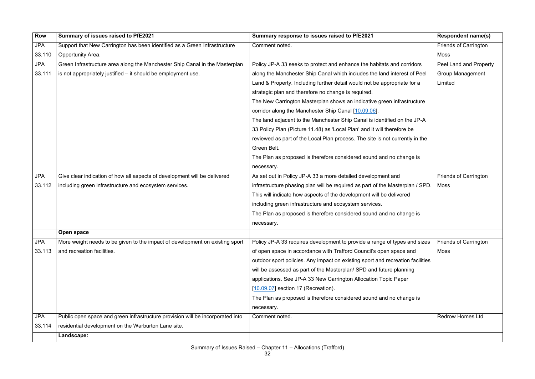| Row        | Summary of issues raised to PfE2021                                            | Summary response to issues raised to PfE2021                                   | <b>Respondent name(s)</b>    |
|------------|--------------------------------------------------------------------------------|--------------------------------------------------------------------------------|------------------------------|
| <b>JPA</b> | Support that New Carrington has been identified as a Green Infrastructure      | Comment noted.                                                                 | <b>Friends of Carrington</b> |
| 33.110     | Opportunity Area.                                                              |                                                                                | <b>Moss</b>                  |
| <b>JPA</b> | Green Infrastructure area along the Manchester Ship Canal in the Masterplan    | Policy JP-A 33 seeks to protect and enhance the habitats and corridors         | Peel Land and Property       |
| 33.111     | is not appropriately justified - it should be employment use.                  | along the Manchester Ship Canal which includes the land interest of Peel       | <b>Group Management</b>      |
|            |                                                                                | Land & Property. Including further detail would not be appropriate for a       | Limited                      |
|            |                                                                                | strategic plan and therefore no change is required.                            |                              |
|            |                                                                                | The New Carrington Masterplan shows an indicative green infrastructure         |                              |
|            |                                                                                | corridor along the Manchester Ship Canal [10.09.06].                           |                              |
|            |                                                                                | The land adjacent to the Manchester Ship Canal is identified on the JP-A       |                              |
|            |                                                                                | 33 Policy Plan (Picture 11.48) as 'Local Plan' and it will therefore be        |                              |
|            |                                                                                | reviewed as part of the Local Plan process. The site is not currently in the   |                              |
|            |                                                                                | Green Belt.                                                                    |                              |
|            |                                                                                | The Plan as proposed is therefore considered sound and no change is            |                              |
|            |                                                                                | necessary.                                                                     |                              |
| <b>JPA</b> | Give clear indication of how all aspects of development will be delivered      | As set out in Policy JP-A 33 a more detailed development and                   | <b>Friends of Carrington</b> |
| 33.112     | including green infrastructure and ecosystem services.                         | infrastructure phasing plan will be required as part of the Masterplan / SPD.  | <b>Moss</b>                  |
|            |                                                                                | This will indicate how aspects of the development will be delivered            |                              |
|            |                                                                                | including green infrastructure and ecosystem services.                         |                              |
|            |                                                                                | The Plan as proposed is therefore considered sound and no change is            |                              |
|            |                                                                                | necessary.                                                                     |                              |
|            | Open space                                                                     |                                                                                |                              |
| <b>JPA</b> | More weight needs to be given to the impact of development on existing sport   | Policy JP-A 33 requires development to provide a range of types and sizes      | <b>Friends of Carrington</b> |
| 33.113     | and recreation facilities.                                                     | of open space in accordance with Trafford Council's open space and             | Moss                         |
|            |                                                                                | outdoor sport policies. Any impact on existing sport and recreation facilities |                              |
|            |                                                                                | will be assessed as part of the Masterplan/ SPD and future planning            |                              |
|            |                                                                                | applications. See JP-A 33 New Carrington Allocation Topic Paper                |                              |
|            |                                                                                | $[10.09.07]$ section 17 (Recreation).                                          |                              |
|            |                                                                                | The Plan as proposed is therefore considered sound and no change is            |                              |
|            |                                                                                | necessary.                                                                     |                              |
| <b>JPA</b> | Public open space and green infrastructure provision will be incorporated into | Comment noted.                                                                 | <b>Redrow Homes Ltd</b>      |
| 33.114     | residential development on the Warburton Lane site.                            |                                                                                |                              |
|            | Landscape:                                                                     |                                                                                |                              |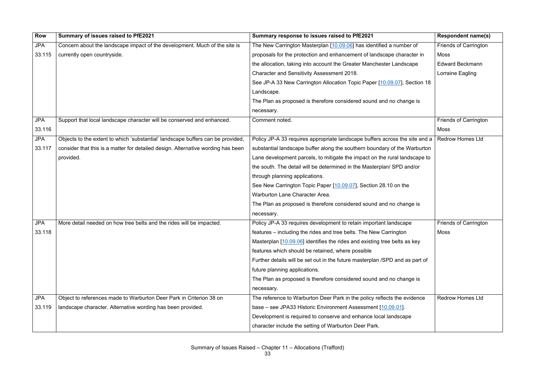| <b>Row</b> | Summary of issues raised to PfE2021                                              | Summary response to issues raised to PfE2021                                 | <b>Respondent name(s)</b>    |
|------------|----------------------------------------------------------------------------------|------------------------------------------------------------------------------|------------------------------|
| <b>JPA</b> | Concern about the landscape impact of the development. Much of the site is       | The New Carrington Masterplan [10.09.06] has identified a number of          | <b>Friends of Carrington</b> |
| 33.115     | currently open countryside.                                                      | proposals for the protection and enhancement of landscape character in       | <b>Moss</b>                  |
|            |                                                                                  | the allocation, taking into account the Greater Manchester Landscape         | <b>Edward Beckmann</b>       |
|            |                                                                                  | Character and Sensitivity Assessment 2018.                                   | Lorraine Eagling             |
|            |                                                                                  | See JP-A 33 New Carrington Allocation Topic Paper [10.09.07], Section 18     |                              |
|            |                                                                                  | Landscape.                                                                   |                              |
|            |                                                                                  | The Plan as proposed is therefore considered sound and no change is          |                              |
|            |                                                                                  | necessary.                                                                   |                              |
| <b>JPA</b> | Support that local landscape character will be conserved and enhanced.           | Comment noted.                                                               | <b>Friends of Carrington</b> |
| 33.116     |                                                                                  |                                                                              | <b>Moss</b>                  |
| <b>JPA</b> | Objects to the extent to which 'substantial' landscape buffers can be provided,  | Policy JP-A 33 requires appropriate landscape buffers across the site and a  | <b>Redrow Homes Ltd</b>      |
| 33.117     | consider that this is a matter for detailed design. Alternative wording has been | substantial landscape buffer along the southern boundary of the Warburton    |                              |
|            | provided.                                                                        | Lane development parcels, to mitigate the impact on the rural landscape to   |                              |
|            |                                                                                  | the south. The detail will be determined in the Masterplan/ SPD and/or       |                              |
|            |                                                                                  | through planning applications.                                               |                              |
|            |                                                                                  | See New Carrington Topic Paper [10.09.07], Section 28.10 on the              |                              |
|            |                                                                                  | Warburton Lane Character Area.                                               |                              |
|            |                                                                                  | The Plan as proposed is therefore considered sound and no change is          |                              |
|            |                                                                                  | necessary.                                                                   |                              |
| <b>JPA</b> | More detail needed on how tree belts and the rides will be impacted.             | Policy JP-A 33 requires development to retain important landscape            | <b>Friends of Carrington</b> |
| 33.118     |                                                                                  | features – including the rides and tree belts. The New Carrington            | <b>Moss</b>                  |
|            |                                                                                  | Masterplan $[10.09.06]$ identifies the rides and existing tree belts as key  |                              |
|            |                                                                                  | features which should be retained, where possible                            |                              |
|            |                                                                                  | Further details will be set out in the future masterplan /SPD and as part of |                              |
|            |                                                                                  | future planning applications.                                                |                              |
|            |                                                                                  | The Plan as proposed is therefore considered sound and no change is          |                              |
|            |                                                                                  | necessary.                                                                   |                              |
| <b>JPA</b> | Object to references made to Warburton Deer Park in Criterion 38 on              | The reference to Warburton Deer Park in the policy reflects the evidence     | <b>Redrow Homes Ltd</b>      |
| 33.119     | landscape character. Alternative wording has been provided.                      | base – see JPA33 Historic Environment Assessment [10.09.01].                 |                              |
|            |                                                                                  | Development is required to conserve and enhance local landscape              |                              |
|            |                                                                                  | character include the setting of Warburton Deer Park.                        |                              |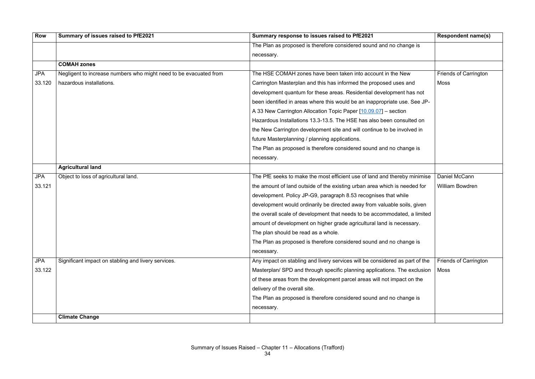| <b>Row</b> | Summary of issues raised to PfE2021                               | Summary response to issues raised to PfE2021                                 | <b>Respondent name(s)</b>    |
|------------|-------------------------------------------------------------------|------------------------------------------------------------------------------|------------------------------|
|            |                                                                   | The Plan as proposed is therefore considered sound and no change is          |                              |
|            |                                                                   | necessary.                                                                   |                              |
|            | <b>COMAH zones</b>                                                |                                                                              |                              |
| <b>JPA</b> | Negligent to increase numbers who might need to be evacuated from | The HSE COMAH zones have been taken into account in the New                  | <b>Friends of Carrington</b> |
| 33.120     | hazardous installations.                                          | Carrington Masterplan and this has informed the proposed uses and            | Moss                         |
|            |                                                                   | development quantum for these areas. Residential development has not         |                              |
|            |                                                                   | been identified in areas where this would be an inappropriate use. See JP-   |                              |
|            |                                                                   | A 33 New Carrington Allocation Topic Paper [10.09.07] - section              |                              |
|            |                                                                   | Hazardous Installations 13.3-13.5. The HSE has also been consulted on        |                              |
|            |                                                                   | the New Carrington development site and will continue to be involved in      |                              |
|            |                                                                   | future Masterplanning / planning applications.                               |                              |
|            |                                                                   | The Plan as proposed is therefore considered sound and no change is          |                              |
|            |                                                                   | necessary.                                                                   |                              |
|            | <b>Agricultural land</b>                                          |                                                                              |                              |
| <b>JPA</b> | Object to loss of agricultural land.                              | The PfE seeks to make the most efficient use of land and thereby minimise    | Daniel McCann                |
| 33.121     |                                                                   | the amount of land outside of the existing urban area which is needed for    | <b>William Bowdren</b>       |
|            |                                                                   | development. Policy JP-G9, paragraph 8.53 recognises that while              |                              |
|            |                                                                   | development would ordinarily be directed away from valuable soils, given     |                              |
|            |                                                                   | the overall scale of development that needs to be accommodated, a limited    |                              |
|            |                                                                   | amount of development on higher grade agricultural land is necessary.        |                              |
|            |                                                                   | The plan should be read as a whole.                                          |                              |
|            |                                                                   | The Plan as proposed is therefore considered sound and no change is          |                              |
|            |                                                                   | necessary.                                                                   |                              |
| <b>JPA</b> | Significant impact on stabling and livery services.               | Any impact on stabling and livery services will be considered as part of the | <b>Friends of Carrington</b> |
| 33.122     |                                                                   | Masterplan/ SPD and through specific planning applications. The exclusion    | Moss                         |
|            |                                                                   | of these areas from the development parcel areas will not impact on the      |                              |
|            |                                                                   | delivery of the overall site.                                                |                              |
|            |                                                                   | The Plan as proposed is therefore considered sound and no change is          |                              |
|            |                                                                   | necessary.                                                                   |                              |
|            | <b>Climate Change</b>                                             |                                                                              |                              |
|            |                                                                   |                                                                              |                              |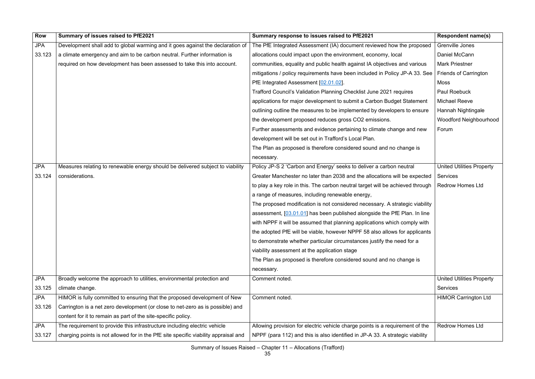| <b>Row</b> | Summary of issues raised to PfE2021                                                 | Summary response to issues raised to PfE2021                                   | <b>Respondent name(s)</b>        |
|------------|-------------------------------------------------------------------------------------|--------------------------------------------------------------------------------|----------------------------------|
| <b>JPA</b> | Development shall add to global warming and it goes against the declaration of      | The PfE Integrated Assessment (IA) document reviewed how the proposed          | Grenville Jones                  |
| 33.123     | a climate emergency and aim to be carbon neutral. Further information is            | allocations could impact upon the environment, economy, local                  | Daniel McCann                    |
|            | required on how development has been assessed to take this into account.            | communities, equality and public health against IA objectives and various      | <b>Mark Priestner</b>            |
|            |                                                                                     | mitigations / policy requirements have been included in Policy JP-A 33. See    | <b>Friends of Carrington</b>     |
|            |                                                                                     | PfE Integrated Assessment [02.01.02].                                          | Moss                             |
|            |                                                                                     | Trafford Council's Validation Planning Checklist June 2021 requires            | <b>Paul Roebuck</b>              |
|            |                                                                                     | applications for major development to submit a Carbon Budget Statement         | <b>Michael Reeve</b>             |
|            |                                                                                     | outlining outline the measures to be implemented by developers to ensure       | Hannah Nightingale               |
|            |                                                                                     | the development proposed reduces gross CO2 emissions.                          | <b>Woodford Neighbourhood</b>    |
|            |                                                                                     | Further assessments and evidence pertaining to climate change and new          | Forum                            |
|            |                                                                                     | development will be set out in Trafford's Local Plan.                          |                                  |
|            |                                                                                     | The Plan as proposed is therefore considered sound and no change is            |                                  |
|            |                                                                                     | necessary.                                                                     |                                  |
| <b>JPA</b> | Measures relating to renewable energy should be delivered subject to viability      | Policy JP-S 2 'Carbon and Energy' seeks to deliver a carbon neutral            | <b>United Utilities Property</b> |
| 33.124     | considerations.                                                                     | Greater Manchester no later than 2038 and the allocations will be expected     | <b>Services</b>                  |
|            |                                                                                     | to play a key role in this. The carbon neutral target will be achieved through | <b>Redrow Homes Ltd</b>          |
|            |                                                                                     | a range of measures, including renewable energy,                               |                                  |
|            |                                                                                     | The proposed modification is not considered necessary. A strategic viability   |                                  |
|            |                                                                                     | assessment, [03.01.01] has been published alongside the PfE Plan. In line      |                                  |
|            |                                                                                     | with NPPF it will be assumed that planning applications which comply with      |                                  |
|            |                                                                                     | the adopted PfE will be viable, however NPPF 58 also allows for applicants     |                                  |
|            |                                                                                     | to demonstrate whether particular circumstances justify the need for a         |                                  |
|            |                                                                                     | viability assessment at the application stage                                  |                                  |
|            |                                                                                     | The Plan as proposed is therefore considered sound and no change is            |                                  |
|            |                                                                                     | necessary.                                                                     |                                  |
| <b>JPA</b> | Broadly welcome the approach to utilities, environmental protection and             | Comment noted.                                                                 | <b>United Utilities Property</b> |
| 33.125     | climate change.                                                                     |                                                                                | <b>Services</b>                  |
| <b>JPA</b> | HIMOR is fully committed to ensuring that the proposed development of New           | Comment noted.                                                                 | <b>HIMOR Carrington Ltd</b>      |
| 33.126     | Carrington is a net zero development (or close to net-zero as is possible) and      |                                                                                |                                  |
|            | content for it to remain as part of the site-specific policy.                       |                                                                                |                                  |
| <b>JPA</b> | The requirement to provide this infrastructure including electric vehicle           | Allowing provision for electric vehicle charge points is a requirement of the  | <b>Redrow Homes Ltd</b>          |
| 33.127     | charging points is not allowed for in the PfE site specific viability appraisal and | NPPF (para 112) and this is also identified in JP-A 33. A strategic viability  |                                  |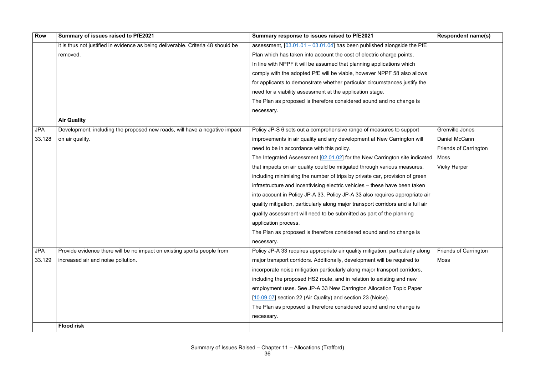| <b>Row</b> | Summary of issues raised to PfE2021                                              | Summary response to issues raised to PfE2021                                    | <b>Respondent name(s)</b>    |
|------------|----------------------------------------------------------------------------------|---------------------------------------------------------------------------------|------------------------------|
|            | it is thus not justified in evidence as being deliverable. Criteria 48 should be | assessment, $[03.01.01 - 03.01.04]$ has been published alongside the PfE        |                              |
|            | removed.                                                                         | Plan which has taken into account the cost of electric charge points.           |                              |
|            |                                                                                  | In line with NPPF it will be assumed that planning applications which           |                              |
|            |                                                                                  | comply with the adopted PfE will be viable, however NPPF 58 also allows         |                              |
|            |                                                                                  | for applicants to demonstrate whether particular circumstances justify the      |                              |
|            |                                                                                  | need for a viability assessment at the application stage.                       |                              |
|            |                                                                                  | The Plan as proposed is therefore considered sound and no change is             |                              |
|            |                                                                                  | necessary.                                                                      |                              |
|            | <b>Air Quality</b>                                                               |                                                                                 |                              |
| <b>JPA</b> | Development, including the proposed new roads, will have a negative impact       | Policy JP-S 6 sets out a comprehensive range of measures to support             | Grenville Jones              |
| 33.128     | on air quality.                                                                  | improvements in air quality and any development at New Carrington will          | Daniel McCann                |
|            |                                                                                  | need to be in accordance with this policy.                                      | <b>Friends of Carrington</b> |
|            |                                                                                  | The Integrated Assessment [02.01.02] for the New Carrington site indicated      | Moss                         |
|            |                                                                                  | that impacts on air quality could be mitigated through various measures,        | <b>Vicky Harper</b>          |
|            |                                                                                  | including minimising the number of trips by private car, provision of green     |                              |
|            |                                                                                  | infrastructure and incentivising electric vehicles - these have been taken      |                              |
|            |                                                                                  | into account in Policy JP-A 33. Policy JP-A 33 also requires appropriate air    |                              |
|            |                                                                                  | quality mitigation, particularly along major transport corridors and a full air |                              |
|            |                                                                                  | quality assessment will need to be submitted as part of the planning            |                              |
|            |                                                                                  | application process.                                                            |                              |
|            |                                                                                  | The Plan as proposed is therefore considered sound and no change is             |                              |
|            |                                                                                  | necessary.                                                                      |                              |
| <b>JPA</b> | Provide evidence there will be no impact on existing sports people from          | Policy JP-A 33 requires appropriate air quality mitigation, particularly along  | <b>Friends of Carrington</b> |
| 33.129     | increased air and noise pollution.                                               | major transport corridors. Additionally, development will be required to        | Moss                         |
|            |                                                                                  | incorporate noise mitigation particularly along major transport corridors,      |                              |
|            |                                                                                  | including the proposed HS2 route, and in relation to existing and new           |                              |
|            |                                                                                  | employment uses. See JP-A 33 New Carrington Allocation Topic Paper              |                              |
|            |                                                                                  | [10.09.07] section 22 (Air Quality) and section 23 (Noise).                     |                              |
|            |                                                                                  | The Plan as proposed is therefore considered sound and no change is             |                              |
|            |                                                                                  | necessary.                                                                      |                              |
|            | <b>Flood risk</b>                                                                |                                                                                 |                              |
|            |                                                                                  |                                                                                 |                              |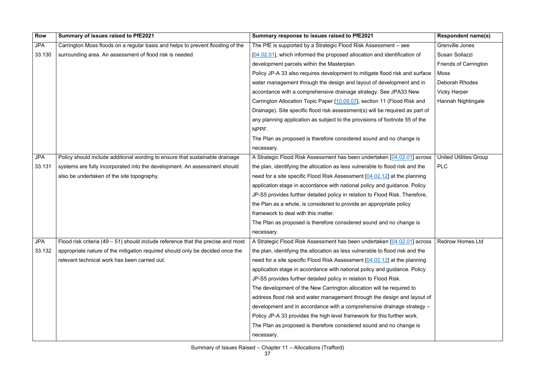| Row        | Summary of issues raised to PfE2021                                              | Summary response to issues raised to PfE2021                                  | <b>Respondent name(s)</b>     |
|------------|----------------------------------------------------------------------------------|-------------------------------------------------------------------------------|-------------------------------|
| <b>JPA</b> | Carrington Moss floods on a regular basis and helps to prevent flooding of the   | The PfE is supported by a Strategic Flood Risk Assessment – see               | Grenville Jones               |
| 33.130     | surrounding area. An assessment of flood risk is needed                          | [04.02.01], which informed the proposed allocation and identification of      | Susan Sollazzi                |
|            |                                                                                  | development parcels within the Masterplan.                                    | <b>Friends of Carrington</b>  |
|            |                                                                                  | Policy JP-A 33 also requires development to mitigate flood risk and surface   | <b>Moss</b>                   |
|            |                                                                                  | water management through the design and layout of development and in          | <b>Deborah Rhodes</b>         |
|            |                                                                                  | accordance with a comprehensive drainage strategy. See JPA33 New              | <b>Vicky Harper</b>           |
|            |                                                                                  | Carrington Allocation Topic Paper [10.09.07], section 11 (Flood Risk and      | Hannah Nightingale            |
|            |                                                                                  | Drainage). Site specific flood risk assessment(s) will be required as part of |                               |
|            |                                                                                  | any planning application as subject to the provisions of footnote 55 of the   |                               |
|            |                                                                                  | NPPF.                                                                         |                               |
|            |                                                                                  | The Plan as proposed is therefore considered sound and no change is           |                               |
|            |                                                                                  | necessary.                                                                    |                               |
| <b>JPA</b> | Policy should include additional wording to ensure that sustainable drainage     | A Strategic Flood Risk Assessment has been undertaken [04.02.01] across       | <b>United Utilities Group</b> |
| 33.131     | systems are fully incorporated into the development. An assessment should        | the plan, identifying the allocation as less vulnerable to flood risk and the | <b>PLC</b>                    |
|            | also be undertaken of the site topography.                                       | need for a site specific Flood Risk Assessment [04.02.12] at the planning     |                               |
|            |                                                                                  | application stage in accordance with national policy and guidance. Policy     |                               |
|            |                                                                                  | JP-S5 provides further detailed policy in relation to Flood Risk. Therefore,  |                               |
|            |                                                                                  | the Plan as a whole, is considered to provide an appropriate policy           |                               |
|            |                                                                                  | framework to deal with this matter.                                           |                               |
|            |                                                                                  | The Plan as proposed is therefore considered sound and no change is           |                               |
|            |                                                                                  | necessary.                                                                    |                               |
| <b>JPA</b> | Flood risk criteria (49 – 51) should include reference that the precise and most | A Strategic Flood Risk Assessment has been undertaken [04.02.01] across       | <b>Redrow Homes Ltd</b>       |
| 33.132     | appropriate nature of the mitigation required should only be decided once the    | the plan, identifying the allocation as less vulnerable to flood risk and the |                               |
|            | relevant technical work has been carried out.                                    | need for a site specific Flood Risk Assessment [04.02.12] at the planning     |                               |
|            |                                                                                  | application stage in accordance with national policy and guidance. Policy     |                               |
|            |                                                                                  | JP-S5 provides further detailed policy in relation to Flood Risk.             |                               |
|            |                                                                                  | The development of the New Carrington allocation will be required to          |                               |
|            |                                                                                  | address flood risk and water management through the design and layout of      |                               |
|            |                                                                                  | development and in accordance with a comprehensive drainage strategy -        |                               |
|            |                                                                                  | Policy JP-A 33 provides the high level framework for this further work.       |                               |
|            |                                                                                  | The Plan as proposed is therefore considered sound and no change is           |                               |
|            |                                                                                  | necessary.                                                                    |                               |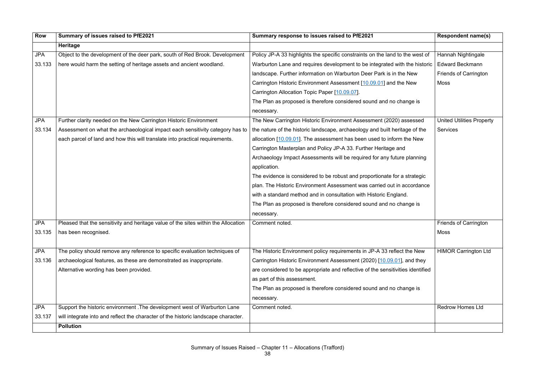| <b>Row</b> | Summary of issues raised to PfE2021                                                | Summary response to issues raised to PfE2021                                    | <b>Respondent name(s)</b>        |
|------------|------------------------------------------------------------------------------------|---------------------------------------------------------------------------------|----------------------------------|
|            | <b>Heritage</b>                                                                    |                                                                                 |                                  |
| <b>JPA</b> | Object to the development of the deer park, south of Red Brook. Development        | Policy JP-A 33 highlights the specific constraints on the land to the west of   | Hannah Nightingale               |
| 33.133     | here would harm the setting of heritage assets and ancient woodland.               | Warburton Lane and requires development to be integrated with the historic      | <b>Edward Beckmann</b>           |
|            |                                                                                    | landscape. Further information on Warburton Deer Park is in the New             | <b>Friends of Carrington</b>     |
|            |                                                                                    | Carrington Historic Environment Assessment [10.09.01] and the New               | <b>Moss</b>                      |
|            |                                                                                    | Carrington Allocation Topic Paper [10.09.07].                                   |                                  |
|            |                                                                                    | The Plan as proposed is therefore considered sound and no change is             |                                  |
|            |                                                                                    | necessary.                                                                      |                                  |
| <b>JPA</b> | Further clarity needed on the New Carrington Historic Environment                  | The New Carrington Historic Environment Assessment (2020) assessed              | <b>United Utilities Property</b> |
| 33.134     | Assessment on what the archaeological impact each sensitivity category has to      | the nature of the historic landscape, archaeology and built heritage of the     | <b>Services</b>                  |
|            | each parcel of land and how this will translate into practical requirements.       | allocation $[10.09.01]$ . The assessment has been used to inform the New        |                                  |
|            |                                                                                    | Carrington Masterplan and Policy JP-A 33. Further Heritage and                  |                                  |
|            |                                                                                    | Archaeology Impact Assessments will be required for any future planning         |                                  |
|            |                                                                                    | application.                                                                    |                                  |
|            |                                                                                    | The evidence is considered to be robust and proportionate for a strategic       |                                  |
|            |                                                                                    | plan. The Historic Environment Assessment was carried out in accordance         |                                  |
|            |                                                                                    | with a standard method and in consultation with Historic England.               |                                  |
|            |                                                                                    | The Plan as proposed is therefore considered sound and no change is             |                                  |
|            |                                                                                    | necessary.                                                                      |                                  |
| <b>JPA</b> | Pleased that the sensitivity and heritage value of the sites within the Allocation | Comment noted.                                                                  | <b>Friends of Carrington</b>     |
| 33.135     | has been recognised.                                                               |                                                                                 | <b>Moss</b>                      |
|            |                                                                                    |                                                                                 |                                  |
| <b>JPA</b> | The policy should remove any reference to specific evaluation techniques of        | The Historic Environment policy requirements in JP-A 33 reflect the New         | <b>HIMOR Carrington Ltd</b>      |
| 33.136     | archaeological features, as these are demonstrated as inappropriate.               | Carrington Historic Environment Assessment (2020) [10.09.01], and they          |                                  |
|            | Alternative wording has been provided.                                             | are considered to be appropriate and reflective of the sensitivities identified |                                  |
|            |                                                                                    | as part of this assessment.                                                     |                                  |
|            |                                                                                    | The Plan as proposed is therefore considered sound and no change is             |                                  |
|            |                                                                                    | necessary.                                                                      |                                  |
| <b>JPA</b> | Support the historic environment . The development west of Warburton Lane          | Comment noted.                                                                  | <b>Redrow Homes Ltd</b>          |
| 33.137     | will integrate into and reflect the character of the historic landscape character. |                                                                                 |                                  |
|            | <b>Pollution</b>                                                                   |                                                                                 |                                  |
|            |                                                                                    |                                                                                 |                                  |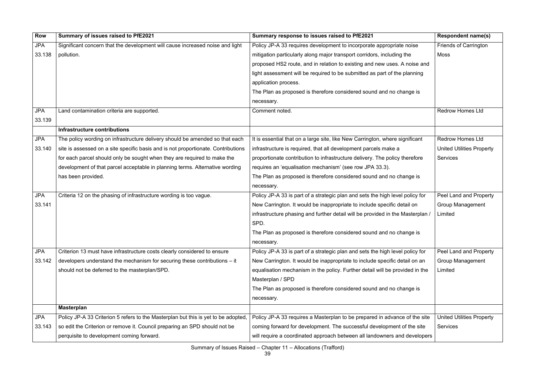| <b>Row</b> | Summary of issues raised to PfE2021                                                | Summary response to issues raised to PfE2021                                   | <b>Respondent name(s)</b>        |
|------------|------------------------------------------------------------------------------------|--------------------------------------------------------------------------------|----------------------------------|
| <b>JPA</b> | Significant concern that the development will cause increased noise and light      | Policy JP-A 33 requires development to incorporate appropriate noise           | <b>Friends of Carrington</b>     |
| 33.138     | pollution.                                                                         | mitigation particularly along major transport corridors, including the         | Moss                             |
|            |                                                                                    | proposed HS2 route, and in relation to existing and new uses. A noise and      |                                  |
|            |                                                                                    | light assessment will be required to be submitted as part of the planning      |                                  |
|            |                                                                                    | application process.                                                           |                                  |
|            |                                                                                    | The Plan as proposed is therefore considered sound and no change is            |                                  |
|            |                                                                                    | necessary.                                                                     |                                  |
| <b>JPA</b> | Land contamination criteria are supported.                                         | Comment noted.                                                                 | <b>Redrow Homes Ltd</b>          |
| 33.139     |                                                                                    |                                                                                |                                  |
|            | <b>Infrastructure contributions</b>                                                |                                                                                |                                  |
| <b>JPA</b> | The policy wording on infrastructure delivery should be amended so that each       | It is essential that on a large site, like New Carrington, where significant   | <b>Redrow Homes Ltd</b>          |
| 33.140     | site is assessed on a site specific basis and is not proportionate. Contributions  | infrastructure is required, that all development parcels make a                | <b>United Utilities Property</b> |
|            | for each parcel should only be sought when they are required to make the           | proportionate contribution to infrastructure delivery. The policy therefore    | <b>Services</b>                  |
|            | development of that parcel acceptable in planning terms. Alternative wording       | requires an 'equalisation mechanism' (see row JPA 33.3).                       |                                  |
|            | has been provided.                                                                 | The Plan as proposed is therefore considered sound and no change is            |                                  |
|            |                                                                                    | necessary.                                                                     |                                  |
| <b>JPA</b> | Criteria 12 on the phasing of infrastructure wording is too vague.                 | Policy JP-A 33 is part of a strategic plan and sets the high level policy for  | Peel Land and Property           |
| 33.141     |                                                                                    | New Carrington. It would be inappropriate to include specific detail on        | <b>Group Management</b>          |
|            |                                                                                    | infrastructure phasing and further detail will be provided in the Masterplan / | Limited                          |
|            |                                                                                    | SPD.                                                                           |                                  |
|            |                                                                                    | The Plan as proposed is therefore considered sound and no change is            |                                  |
|            |                                                                                    | necessary.                                                                     |                                  |
| <b>JPA</b> | Criterion 13 must have infrastructure costs clearly considered to ensure           | Policy JP-A 33 is part of a strategic plan and sets the high level policy for  | Peel Land and Property           |
| 33.142     | developers understand the mechanism for securing these contributions $-$ it        | New Carrington. It would be inappropriate to include specific detail on an     | <b>Group Management</b>          |
|            | should not be deferred to the masterplan/SPD.                                      | equalisation mechanism in the policy. Further detail will be provided in the   | Limited                          |
|            |                                                                                    | Masterplan / SPD                                                               |                                  |
|            |                                                                                    | The Plan as proposed is therefore considered sound and no change is            |                                  |
|            |                                                                                    | necessary.                                                                     |                                  |
|            | <b>Masterplan</b>                                                                  |                                                                                |                                  |
| <b>JPA</b> | Policy JP-A 33 Criterion 5 refers to the Masterplan but this is yet to be adopted, | Policy JP-A 33 requires a Masterplan to be prepared in advance of the site     | <b>United Utilities Property</b> |
| 33.143     | so edit the Criterion or remove it. Council preparing an SPD should not be         | coming forward for development. The successful development of the site         | <b>Services</b>                  |
|            | perquisite to development coming forward.                                          | will require a coordinated approach between all landowners and developers      |                                  |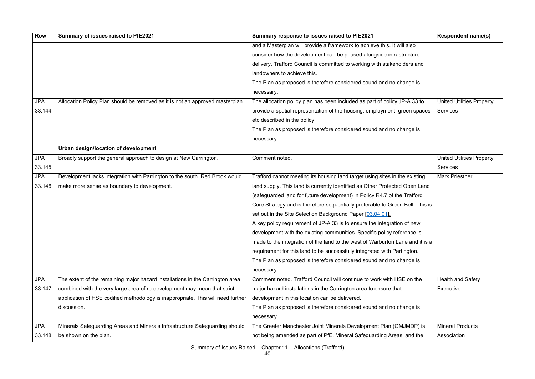| <b>Row</b> | Summary of issues raised to PfE2021                                              | Summary response to issues raised to PfE2021                                  | <b>Respondent name(s)</b>        |
|------------|----------------------------------------------------------------------------------|-------------------------------------------------------------------------------|----------------------------------|
|            |                                                                                  | and a Masterplan will provide a framework to achieve this. It will also       |                                  |
|            |                                                                                  | consider how the development can be phased alongside infrastructure           |                                  |
|            |                                                                                  | delivery. Trafford Council is committed to working with stakeholders and      |                                  |
|            |                                                                                  | landowners to achieve this.                                                   |                                  |
|            |                                                                                  | The Plan as proposed is therefore considered sound and no change is           |                                  |
|            |                                                                                  | necessary.                                                                    |                                  |
| <b>JPA</b> | Allocation Policy Plan should be removed as it is not an approved masterplan.    | The allocation policy plan has been included as part of policy JP-A 33 to     | <b>United Utilities Property</b> |
| 33.144     |                                                                                  | provide a spatial representation of the housing, employment, green spaces     | <b>Services</b>                  |
|            |                                                                                  | etc described in the policy.                                                  |                                  |
|            |                                                                                  | The Plan as proposed is therefore considered sound and no change is           |                                  |
|            |                                                                                  | necessary.                                                                    |                                  |
|            | Urban design/location of development                                             |                                                                               |                                  |
| <b>JPA</b> | Broadly support the general approach to design at New Carrington.                | Comment noted.                                                                | <b>United Utilities Property</b> |
| 33.145     |                                                                                  |                                                                               | <b>Services</b>                  |
| <b>JPA</b> | Development lacks integration with Parrington to the south. Red Brook would      | Trafford cannot meeting its housing land target using sites in the existing   | <b>Mark Priestner</b>            |
| 33.146     | make more sense as boundary to development.                                      | land supply. This land is currently identified as Other Protected Open Land   |                                  |
|            |                                                                                  | (safeguarded land for future development) in Policy R4.7 of the Trafford      |                                  |
|            |                                                                                  | Core Strategy and is therefore sequentially preferable to Green Belt. This is |                                  |
|            |                                                                                  | set out in the Site Selection Background Paper [03.04.01].                    |                                  |
|            |                                                                                  | A key policy requirement of JP-A 33 is to ensure the integration of new       |                                  |
|            |                                                                                  | development with the existing communities. Specific policy reference is       |                                  |
|            |                                                                                  | made to the integration of the land to the west of Warburton Lane and it is a |                                  |
|            |                                                                                  | requirement for this land to be successfully integrated with Partington.      |                                  |
|            |                                                                                  | The Plan as proposed is therefore considered sound and no change is           |                                  |
|            |                                                                                  | necessary.                                                                    |                                  |
| <b>JPA</b> | The extent of the remaining major hazard installations in the Carrington area    | Comment noted. Trafford Council will continue to work with HSE on the         | <b>Health and Safety</b>         |
| 33.147     | combined with the very large area of re-development may mean that strict         | major hazard installations in the Carrington area to ensure that              | Executive                        |
|            | application of HSE codified methodology is inappropriate. This will need further | development in this location can be delivered.                                |                                  |
|            | discussion.                                                                      | The Plan as proposed is therefore considered sound and no change is           |                                  |
|            |                                                                                  | necessary.                                                                    |                                  |
| <b>JPA</b> | Minerals Safeguarding Areas and Minerals Infrastructure Safeguarding should      | The Greater Manchester Joint Minerals Development Plan (GMJMDP) is            | <b>Mineral Products</b>          |
| 33.148     | be shown on the plan.                                                            | not being amended as part of PfE. Mineral Safeguarding Areas, and the         | Association                      |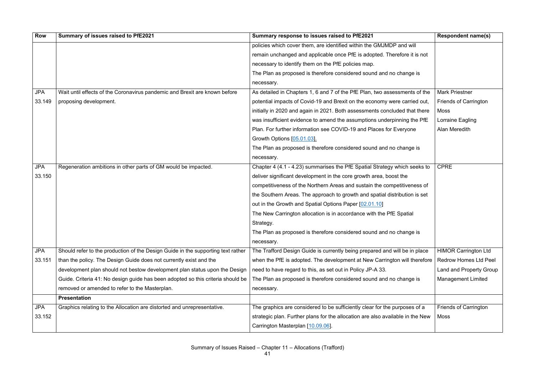| <b>Row</b> | Summary of issues raised to PfE2021                                              | Summary response to issues raised to PfE2021                                   | <b>Respondent name(s)</b>    |
|------------|----------------------------------------------------------------------------------|--------------------------------------------------------------------------------|------------------------------|
|            |                                                                                  | policies which cover them, are identified within the GMJMDP and will           |                              |
|            |                                                                                  | remain unchanged and applicable once PfE is adopted. Therefore it is not       |                              |
|            |                                                                                  | necessary to identify them on the PfE policies map.                            |                              |
|            |                                                                                  | The Plan as proposed is therefore considered sound and no change is            |                              |
|            |                                                                                  | necessary.                                                                     |                              |
| <b>JPA</b> | Wait until effects of the Coronavirus pandemic and Brexit are known before       | As detailed in Chapters 1, 6 and 7 of the PfE Plan, two assessments of the     | <b>Mark Priestner</b>        |
| 33.149     | proposing development.                                                           | potential impacts of Covid-19 and Brexit on the economy were carried out,      | <b>Friends of Carrington</b> |
|            |                                                                                  | initially in 2020 and again in 2021. Both assessments concluded that there     | Moss                         |
|            |                                                                                  | was insufficient evidence to amend the assumptions underpinning the PfE        | Lorraine Eagling             |
|            |                                                                                  | Plan. For further information see COVID-19 and Places for Everyone             | Alan Meredith                |
|            |                                                                                  | Growth Options [05.01.03].                                                     |                              |
|            |                                                                                  | The Plan as proposed is therefore considered sound and no change is            |                              |
|            |                                                                                  | necessary.                                                                     |                              |
| <b>JPA</b> | Regeneration ambitions in other parts of GM would be impacted.                   | Chapter 4 (4.1 - 4.23) summarises the PfE Spatial Strategy which seeks to      | <b>CPRE</b>                  |
| 33.150     |                                                                                  | deliver significant development in the core growth area, boost the             |                              |
|            |                                                                                  | competitiveness of the Northern Areas and sustain the competitiveness of       |                              |
|            |                                                                                  | the Southern Areas. The approach to growth and spatial distribution is set     |                              |
|            |                                                                                  | out in the Growth and Spatial Options Paper [02.01.10]                         |                              |
|            |                                                                                  | The New Carrington allocation is in accordance with the PfE Spatial            |                              |
|            |                                                                                  | Strategy.                                                                      |                              |
|            |                                                                                  | The Plan as proposed is therefore considered sound and no change is            |                              |
|            |                                                                                  | necessary.                                                                     |                              |
| <b>JPA</b> | Should refer to the production of the Design Guide in the supporting text rather | The Trafford Design Guide is currently being prepared and will be in place     | <b>HIMOR Carrington Ltd</b>  |
| 33.151     | than the policy. The Design Guide does not currently exist and the               | when the PfE is adopted. The development at New Carrington will therefore      | <b>Redrow Homes Ltd Peel</b> |
|            | development plan should not bestow development plan status upon the Design       | need to have regard to this, as set out in Policy JP-A 33.                     | Land and Property Group      |
|            | Guide. Criteria 41: No design guide has been adopted so this criteria should be  | The Plan as proposed is therefore considered sound and no change is            | <b>Management Limited</b>    |
|            | removed or amended to refer to the Masterplan.                                   | necessary.                                                                     |                              |
|            | <b>Presentation</b>                                                              |                                                                                |                              |
| <b>JPA</b> | Graphics relating to the Allocation are distorted and unrepresentative.          | The graphics are considered to be sufficiently clear for the purposes of a     | <b>Friends of Carrington</b> |
| 33.152     |                                                                                  | strategic plan. Further plans for the allocation are also available in the New | Moss                         |
|            |                                                                                  | Carrington Masterplan [10.09.06].                                              |                              |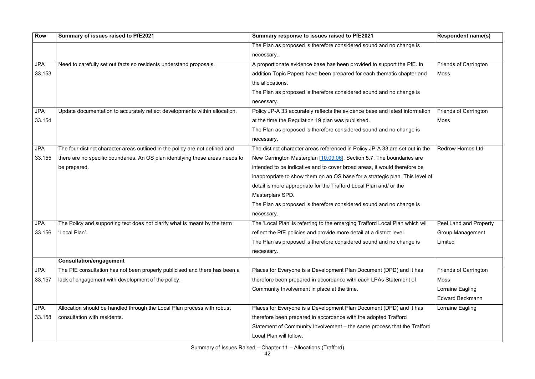| <b>Row</b> | Summary of issues raised to PfE2021                                           | Summary response to issues raised to PfE2021                                 | <b>Respondent name(s)</b>     |
|------------|-------------------------------------------------------------------------------|------------------------------------------------------------------------------|-------------------------------|
|            |                                                                               | The Plan as proposed is therefore considered sound and no change is          |                               |
|            |                                                                               | necessary.                                                                   |                               |
| <b>JPA</b> | Need to carefully set out facts so residents understand proposals.            | A proportionate evidence base has been provided to support the PfE. In       | <b>Friends of Carrington</b>  |
| 33.153     |                                                                               | addition Topic Papers have been prepared for each thematic chapter and       | Moss                          |
|            |                                                                               | the allocations.                                                             |                               |
|            |                                                                               | The Plan as proposed is therefore considered sound and no change is          |                               |
|            |                                                                               | necessary.                                                                   |                               |
| <b>JPA</b> | Update documentation to accurately reflect developments within allocation.    | Policy JP-A 33 accurately reflects the evidence base and latest information  | <b>Friends of Carrington</b>  |
| 33.154     |                                                                               | at the time the Regulation 19 plan was published.                            | Moss                          |
|            |                                                                               | The Plan as proposed is therefore considered sound and no change is          |                               |
|            |                                                                               | necessary.                                                                   |                               |
| <b>JPA</b> | The four distinct character areas outlined in the policy are not defined and  | The distinct character areas referenced in Policy JP-A 33 are set out in the | <b>Redrow Homes Ltd</b>       |
| 33.155     | there are no specific boundaries. An OS plan identifying these areas needs to | New Carrington Masterplan [10.09.06], Section 5.7. The boundaries are        |                               |
|            | be prepared.                                                                  | intended to be indicative and to cover broad areas, it would therefore be    |                               |
|            |                                                                               | inappropriate to show them on an OS base for a strategic plan. This level of |                               |
|            |                                                                               | detail is more appropriate for the Trafford Local Plan and/ or the           |                               |
|            |                                                                               | Masterplan/SPD.                                                              |                               |
|            |                                                                               | The Plan as proposed is therefore considered sound and no change is          |                               |
|            |                                                                               | necessary.                                                                   |                               |
| <b>JPA</b> | The Policy and supporting text does not clarify what is meant by the term     | The 'Local Plan' is referring to the emerging Trafford Local Plan which will | <b>Peel Land and Property</b> |
| 33.156     | 'Local Plan'.                                                                 | reflect the PfE policies and provide more detail at a district level.        | <b>Group Management</b>       |
|            |                                                                               | The Plan as proposed is therefore considered sound and no change is          | Limited                       |
|            |                                                                               | necessary.                                                                   |                               |
|            | <b>Consultation/engagement</b>                                                |                                                                              |                               |
| <b>JPA</b> | The PfE consultation has not been properly publicised and there has been a    | Places for Everyone is a Development Plan Document (DPD) and it has          | <b>Friends of Carrington</b>  |
| 33.157     | lack of engagement with development of the policy.                            | therefore been prepared in accordance with each LPAs Statement of            | Moss                          |
|            |                                                                               | Community Involvement in place at the time.                                  | Lorraine Eagling              |
|            |                                                                               |                                                                              | <b>Edward Beckmann</b>        |
| <b>JPA</b> | Allocation should be handled through the Local Plan process with robust       | Places for Everyone is a Development Plan Document (DPD) and it has          | Lorraine Eagling              |
| 33.158     | consultation with residents.                                                  | therefore been prepared in accordance with the adopted Trafford              |                               |
|            |                                                                               | Statement of Community Involvement - the same process that the Trafford      |                               |
|            |                                                                               | Local Plan will follow.                                                      |                               |